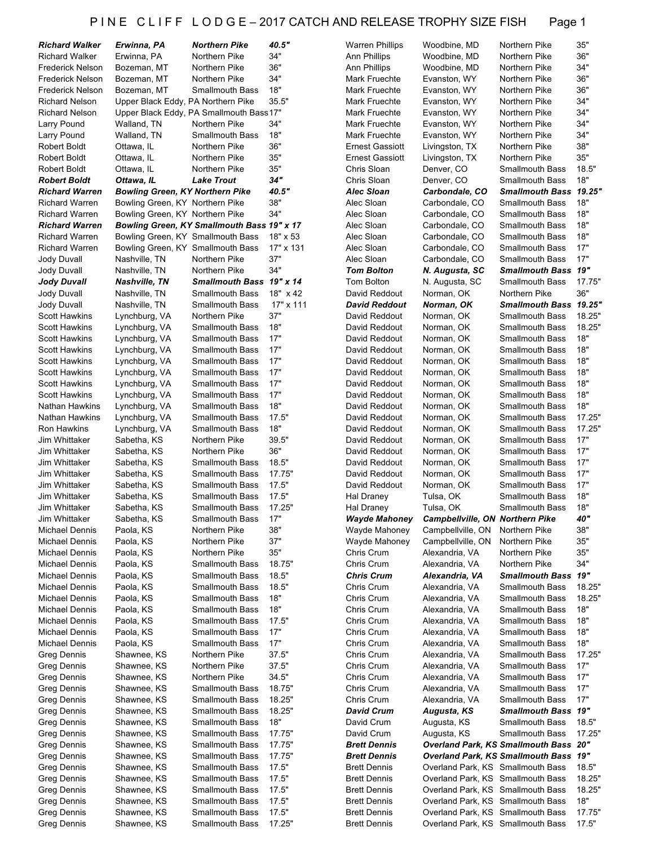| <b>Richard Walker</b>   | Erwinna, PA                            | <b>Northern Pike</b>                       | 40.5"           | <b>Warren Phillips</b> | Woodbine, MD                      | Northern Pike                         | 35"              |
|-------------------------|----------------------------------------|--------------------------------------------|-----------------|------------------------|-----------------------------------|---------------------------------------|------------------|
| <b>Richard Walker</b>   | Erwinna, PA                            | Northern Pike                              | 34"             | <b>Ann Phillips</b>    | Woodbine, MD                      | Northern Pike                         | 36"              |
| <b>Frederick Nelson</b> | Bozeman, MT                            | Northern Pike                              | 36"             | <b>Ann Phillips</b>    | Woodbine, MD                      | Northern Pike                         | 34"              |
| <b>Frederick Nelson</b> | Bozeman, MT                            | Northern Pike                              | 34"             | Mark Fruechte          | Evanston, WY                      | Northern Pike                         | 36"              |
| <b>Frederick Nelson</b> | Bozeman, MT                            | <b>Smallmouth Bass</b>                     | 18"             | Mark Fruechte          | Evanston, WY                      | Northern Pike                         | 36"              |
| <b>Richard Nelson</b>   | Upper Black Eddy, PA Northern Pike     |                                            | 35.5"           | Mark Fruechte          | Evanston, WY                      | Northern Pike                         | 34"              |
| Richard Nelson          |                                        | Upper Black Eddy, PA Smallmouth Bass 17"   |                 | Mark Fruechte          | Evanston, WY                      | Northern Pike                         | 34"              |
| Larry Pound             | Walland, TN                            | Northern Pike                              | 34"             | Mark Fruechte          | Evanston, WY                      | Northern Pike                         | 34"              |
| Larry Pound             | Walland, TN                            | <b>Smallmouth Bass</b>                     | 18"             | Mark Fruechte          | Evanston, WY                      | Northern Pike                         | 34"              |
| <b>Robert Boldt</b>     | Ottawa, IL                             | Northern Pike                              | 36"             | <b>Ernest Gassiott</b> | Livingston, TX                    | Northern Pike                         | 38"              |
| Robert Boldt            |                                        | Northern Pike                              | 35"             | <b>Ernest Gassiott</b> |                                   | Northern Pike                         | 35"              |
|                         | Ottawa, IL                             |                                            |                 |                        | Livingston, TX                    |                                       |                  |
| Robert Boldt            | Ottawa, IL                             | Northern Pike                              | 35"             | Chris Sloan            | Denver, CO                        | <b>Smallmouth Bass</b>                | 18.5"            |
| <b>Robert Boldt</b>     | Ottawa, IL                             | <b>Lake Trout</b>                          | 34"             | Chris Sloan            | Denver, CO                        | Smallmouth Bass                       | 18"              |
| <b>Richard Warren</b>   | <b>Bowling Green, KY Northern Pike</b> |                                            | 40.5"           | <b>Alec Sloan</b>      | Carbondale, CO                    | Smallmouth Bass 19.25"                |                  |
| <b>Richard Warren</b>   | Bowling Green, KY Northern Pike        |                                            | 38"             | Alec Sloan             | Carbondale, CO                    | <b>Smallmouth Bass</b>                | 18"              |
| Richard Warren          | Bowling Green, KY Northern Pike        |                                            | 34"             | Alec Sloan             | Carbondale, CO                    | <b>Smallmouth Bass</b>                | 18"              |
| <b>Richard Warren</b>   |                                        | Bowling Green, KY Smallmouth Bass 19" x 17 |                 | Alec Sloan             | Carbondale, CO                    | <b>Smallmouth Bass</b>                | 18"              |
| Richard Warren          | Bowling Green, KY Smallmouth Bass      |                                            | 18" x 53        | Alec Sloan             | Carbondale, CO                    | <b>Smallmouth Bass</b>                | 18"              |
| <b>Richard Warren</b>   | Bowling Green, KY Smallmouth Bass      |                                            | 17" x 131       | Alec Sloan             | Carbondale, CO                    | <b>Smallmouth Bass</b>                | 17"              |
| Jody Duvall             | Nashville, TN                          | Northern Pike                              | 37"             | Alec Sloan             | Carbondale, CO                    | <b>Smallmouth Bass</b>                | 17"              |
| Jody Duvall             | Nashville, TN                          | Northern Pike                              | 34"             | <b>Tom Bolton</b>      | N. Augusta, SC                    | <b>Smallmouth Bass 19"</b>            |                  |
| Jody Duvall             | <b>Nashville, TN</b>                   | Smallmouth Bass 19" x 14                   |                 | <b>Tom Bolton</b>      | N. Augusta, SC                    | <b>Smallmouth Bass</b>                | 17.75"           |
| Jody Duvall             | Nashville, TN                          | <b>Smallmouth Bass</b>                     | $18" \times 42$ | David Reddout          | Norman, OK                        | Northern Pike                         | 36"              |
| Jody Duvall             | Nashville, TN                          | <b>Smallmouth Bass</b>                     | 17" x 111       | <b>David Reddout</b>   | Norman, OK                        | Smallmouth Bass 19.25"                |                  |
|                         |                                        | Northern Pike                              | 37"             | David Reddout          | Norman, OK                        | <b>Smallmouth Bass</b>                |                  |
| <b>Scott Hawkins</b>    | Lynchburg, VA                          |                                            |                 |                        |                                   |                                       | 18.25"<br>18.25" |
| <b>Scott Hawkins</b>    | Lynchburg, VA                          | <b>Smallmouth Bass</b>                     | 18"             | David Reddout          | Norman, OK                        | <b>Smallmouth Bass</b>                |                  |
| Scott Hawkins           | Lynchburg, VA                          | <b>Smallmouth Bass</b>                     | 17"             | David Reddout          | Norman, OK                        | <b>Smallmouth Bass</b>                | 18"              |
| <b>Scott Hawkins</b>    | Lynchburg, VA                          | <b>Smallmouth Bass</b>                     | 17"             | David Reddout          | Norman, OK                        | <b>Smallmouth Bass</b>                | 18"              |
| <b>Scott Hawkins</b>    | Lynchburg, VA                          | <b>Smallmouth Bass</b>                     | 17"             | David Reddout          | Norman, OK                        | <b>Smallmouth Bass</b>                | 18"              |
| <b>Scott Hawkins</b>    | Lynchburg, VA                          | <b>Smallmouth Bass</b>                     | 17"             | David Reddout          | Norman, OK                        | <b>Smallmouth Bass</b>                | 18"              |
| <b>Scott Hawkins</b>    | Lynchburg, VA                          | <b>Smallmouth Bass</b>                     | 17"             | David Reddout          | Norman, OK                        | <b>Smallmouth Bass</b>                | 18"              |
| <b>Scott Hawkins</b>    | Lynchburg, VA                          | <b>Smallmouth Bass</b>                     | 17"             | David Reddout          | Norman, OK                        | <b>Smallmouth Bass</b>                | 18"              |
| Nathan Hawkins          | Lynchburg, VA                          | <b>Smallmouth Bass</b>                     | 18"             | David Reddout          | Norman, OK                        | <b>Smallmouth Bass</b>                | 18"              |
| Nathan Hawkins          | Lynchburg, VA                          | <b>Smallmouth Bass</b>                     | 17.5"           | David Reddout          | Norman, OK                        | <b>Smallmouth Bass</b>                | 17.25"           |
| Ron Hawkins             | Lynchburg, VA                          | <b>Smallmouth Bass</b>                     | 18"             | David Reddout          | Norman, OK                        | <b>Smallmouth Bass</b>                | 17.25"           |
| Jim Whittaker           | Sabetha, KS                            | Northern Pike                              | 39.5"           | David Reddout          | Norman, OK                        | <b>Smallmouth Bass</b>                | 17"              |
| Jim Whittaker           | Sabetha, KS                            | Northern Pike                              | 36"             | David Reddout          | Norman, OK                        | <b>Smallmouth Bass</b>                | 17"              |
| Jim Whittaker           | Sabetha, KS                            | <b>Smallmouth Bass</b>                     | 18.5"           | David Reddout          | Norman, OK                        | <b>Smallmouth Bass</b>                | 17"              |
| Jim Whittaker           | Sabetha, KS                            | <b>Smallmouth Bass</b>                     | 17.75"          | David Reddout          | Norman, OK                        | <b>Smallmouth Bass</b>                | 17"              |
| Jim Whittaker           | Sabetha, KS                            | <b>Smallmouth Bass</b>                     | 17.5"           | David Reddout          | Norman, OK                        | <b>Smallmouth Bass</b>                | 17"              |
| Jim Whittaker           |                                        |                                            | 17.5"           |                        |                                   |                                       | 18"              |
|                         | Sabetha, KS                            | <b>Smallmouth Bass</b>                     |                 | Hal Draney             | Tulsa, OK                         | <b>Smallmouth Bass</b>                |                  |
| Jim Whittaker           | Sabetha, KS                            | <b>Smallmouth Bass</b>                     | 17.25"          | Hal Draney             | Tulsa, OK                         | <b>Smallmouth Bass</b>                | 18"              |
| Jim Whittaker           | Sabetha, KS                            | Smallmouth Bass                            | 17"             | <b>Wayde Mahoney</b>   | Campbellville, ON Northern Pike   |                                       | 40"              |
| Michael Dennis          | Paola, KS                              | Northern Pike                              | 38"             | Wayde Mahoney          | Campbellville, ON                 | Northern Pike                         | 38"              |
| Michael Dennis          | Paola, KS                              | Northern Pike                              | 37"             | Wayde Mahoney          | Campbellville, ON                 | Northern Pike                         | 35"              |
| Michael Dennis          | Paola, KS                              | Northern Pike                              | 35"             | Chris Crum             | Alexandria, VA                    | Northern Pike                         | 35"              |
| Michael Dennis          | Paola, KS                              | <b>Smallmouth Bass</b>                     | 18.75"          | Chris Crum             | Alexandria, VA                    | Northern Pike                         | 34"              |
| Michael Dennis          | Paola, KS                              | <b>Smallmouth Bass</b>                     | 18.5"           | <b>Chris Crum</b>      | Alexandria, VA                    | <b>Smallmouth Bass</b>                | 19"              |
| Michael Dennis          | Paola, KS                              | <b>Smallmouth Bass</b>                     | 18.5"           | Chris Crum             | Alexandria, VA                    | <b>Smallmouth Bass</b>                | 18.25"           |
| Michael Dennis          | Paola, KS                              | <b>Smallmouth Bass</b>                     | 18"             | Chris Crum             | Alexandria, VA                    | <b>Smallmouth Bass</b>                | 18.25"           |
| Michael Dennis          | Paola, KS                              | <b>Smallmouth Bass</b>                     | 18"             | Chris Crum             | Alexandria, VA                    | Smallmouth Bass                       | 18"              |
| Michael Dennis          | Paola, KS                              | <b>Smallmouth Bass</b>                     | 17.5"           | Chris Crum             | Alexandria, VA                    | <b>Smallmouth Bass</b>                | 18"              |
| Michael Dennis          | Paola, KS                              | <b>Smallmouth Bass</b>                     | 17"             | Chris Crum             | Alexandria, VA                    | <b>Smallmouth Bass</b>                | 18"              |
| Michael Dennis          | Paola, KS                              | <b>Smallmouth Bass</b>                     | 17"             | Chris Crum             | Alexandria, VA                    | <b>Smallmouth Bass</b>                | 18"              |
| <b>Greg Dennis</b>      | Shawnee, KS                            | Northern Pike                              | 37.5"           | Chris Crum             | Alexandria, VA                    | <b>Smallmouth Bass</b>                | 17.25"           |
| <b>Greg Dennis</b>      | Shawnee, KS                            | Northern Pike                              | 37.5"           | Chris Crum             | Alexandria, VA                    | <b>Smallmouth Bass</b>                | 17"              |
| <b>Greg Dennis</b>      | Shawnee, KS                            | Northern Pike                              | 34.5"           | Chris Crum             | Alexandria, VA                    | <b>Smallmouth Bass</b>                | 17"              |
|                         |                                        |                                            | 18.75"          |                        |                                   |                                       | 17"              |
| <b>Greg Dennis</b>      | Shawnee, KS                            | <b>Smallmouth Bass</b>                     |                 | Chris Crum             | Alexandria, VA                    | <b>Smallmouth Bass</b>                |                  |
| Greg Dennis             | Shawnee, KS                            | <b>Smallmouth Bass</b>                     | 18.25"          | Chris Crum             | Alexandria, VA                    | <b>Smallmouth Bass</b>                | 17"              |
| Greg Dennis             | Shawnee, KS                            | <b>Smallmouth Bass</b>                     | 18.25"          | <b>David Crum</b>      | Augusta, KS                       | Smallmouth Bass 19"                   |                  |
| <b>Greg Dennis</b>      | Shawnee, KS                            | <b>Smallmouth Bass</b>                     | 18"             | David Crum             | Augusta, KS                       | <b>Smallmouth Bass</b>                | 18.5"            |
| <b>Greg Dennis</b>      | Shawnee, KS                            | <b>Smallmouth Bass</b>                     | 17.75"          | David Crum             | Augusta, KS                       | <b>Smallmouth Bass</b>                | 17.25"           |
| Greg Dennis             | Shawnee, KS                            | Smallmouth Bass                            | 17.75"          | <b>Brett Dennis</b>    |                                   | Overland Park, KS Smallmouth Bass 20" |                  |
| Greg Dennis             | Shawnee, KS                            | <b>Smallmouth Bass</b>                     | 17.75"          | <b>Brett Dennis</b>    |                                   | Overland Park, KS Smallmouth Bass 19" |                  |
| Greg Dennis             | Shawnee, KS                            | Smallmouth Bass                            | 17.5"           | <b>Brett Dennis</b>    | Overland Park, KS Smallmouth Bass |                                       | 18.5"            |
| <b>Greg Dennis</b>      | Shawnee, KS                            | <b>Smallmouth Bass</b>                     | 17.5"           | <b>Brett Dennis</b>    | Overland Park, KS Smallmouth Bass |                                       | 18.25"           |
| <b>Greg Dennis</b>      | Shawnee, KS                            | <b>Smallmouth Bass</b>                     | 17.5"           | <b>Brett Dennis</b>    | Overland Park, KS Smallmouth Bass |                                       | 18.25"           |
| Greg Dennis             | Shawnee, KS                            | <b>Smallmouth Bass</b>                     | 17.5"           | <b>Brett Dennis</b>    | Overland Park, KS Smallmouth Bass |                                       | 18"              |
| <b>Greg Dennis</b>      | Shawnee, KS                            | <b>Smallmouth Bass</b>                     | 17.5"           | <b>Brett Dennis</b>    | Overland Park, KS Smallmouth Bass |                                       | 17.75"           |
| <b>Greg Dennis</b>      | Shawnee, KS                            | Smallmouth Bass                            | 17.25"          | <b>Brett Dennis</b>    | Overland Park, KS Smallmouth Bass |                                       | 17.5"            |

| 3   | Woodbine, MD                             | Northern Pike                      | 35"    |
|-----|------------------------------------------|------------------------------------|--------|
|     | Woodbine, MD                             | Northern Pike                      | 36"    |
|     | Woodbine, MD                             | Northern Pike                      | 34"    |
|     | Evanston, WY                             | Northern Pike                      | 36"    |
|     | Evanston, WY                             | Northern Pike                      | 36"    |
|     | Evanston, WY                             | Northern Pike                      | 34"    |
|     | Evanston, WY                             | Northern Pike                      | 34"    |
|     | Evanston, WY                             | Northern Pike                      | 34"    |
|     | Evanston, WY                             | Northern Pike                      | 34"    |
| tt  | Livingston, TX                           | Northern Pike                      | 38"    |
| tt  | Livingston, TX                           | Northern Pike                      | 35"    |
|     | Denver, CO                               | Smallmouth Bass                    | 18.5"  |
|     | Denver, CO                               | Smallmouth Bass                    | 18"    |
|     | Carbondale, CO                           | <b>Smallmouth Bass</b>             | 19.25" |
|     |                                          | Smallmouth Bass                    | 18"    |
|     | Carbondale, CO                           |                                    | 18"    |
|     | Carbondale, CO                           | Smallmouth Bass                    |        |
|     | Carbondale, CO                           | Smallmouth Bass                    | 18"    |
|     | Carbondale, CO                           | Smallmouth Bass                    | 18"    |
|     | Carbondale, CO                           | Smallmouth Bass                    | 17"    |
|     | Carbondale, CO                           | Smallmouth Bass                    | 17"    |
|     | N. Augusta, SC                           | Smallmouth Bass                    | 19"    |
|     | N. Augusta, SC                           | Smallmouth Bass                    | 17.75" |
| t   | Norman, OK                               | Northern Pike                      | 36"    |
| ıt  | Norman, OK                               | <b>Smallmouth Bass</b>             | 19.25" |
| t   | Norman, OK                               | Smallmouth Bass                    | 18.25" |
| t   | Norman, OK                               | Smallmouth Bass                    | 18.25" |
| t   | Norman, OK                               | <b>Smallmouth Bass</b>             | 18"    |
| t   | Norman, OK                               | <b>Smallmouth Bass</b>             | 18"    |
| t   | Norman, OK                               | Smallmouth Bass                    | 18"    |
| t   | Norman, OK                               | Smallmouth Bass                    | 18"    |
| t   | Norman, OK                               | Smallmouth Bass                    | 18"    |
| t   | Norman, OK                               | Smallmouth Bass                    | 18"    |
| t   | Norman, OK                               | Smallmouth Bass                    | 18"    |
| t   | Norman, OK                               | Smallmouth Bass                    | 17.25" |
| t   | Norman, OK                               | Smallmouth Bass                    | 17.25" |
| t   |                                          |                                    | 17"    |
| t   | Norman, OK                               | Smallmouth Bass<br>Smallmouth Bass |        |
|     | Norman, OK                               |                                    | 17"    |
| t   | Norman, OK                               | Smallmouth Bass                    | 17"    |
| t   | Norman, OK                               | <b>Smallmouth Bass</b>             | 17"    |
| t   | Norman, OK                               | <b>Smallmouth Bass</b>             | 17"    |
|     | Tulsa, OK                                | <b>Smallmouth Bass</b>             | 18"    |
|     | Tulsa, OK                                | <b>Smallmouth Bass</b>             | 18"    |
| າey | <b>Campbellville, ON Northern Pike</b>   |                                    | 40"    |
| ey  | Campbellville, ON                        | Northern Pike                      | 38"    |
| ey  | Campbellville, ON                        | Northern Pike                      | 35"    |
|     | Alexandria, VA                           | Northern Pike                      | 35"    |
|     | Alexandria, VA                           | Northern Pike                      | 34"    |
|     | Alexandria, VA                           | Smallmouth Bass                    | 19"    |
|     | Alexandria, VA                           | Smallmouth Bass                    | 18.25" |
|     | Alexandria, VA                           | Smallmouth Bass                    | 18.25" |
|     | Alexandria, VA                           | Smallmouth Bass                    | 18"    |
|     | Alexandria, VA                           | Smallmouth Bass                    | 18"    |
|     | Alexandria, VA                           | Smallmouth Bass                    | 18"    |
|     | Alexandria, VA                           | Smallmouth Bass                    | 18"    |
|     | Alexandria, VA                           | Smallmouth Bass                    | 17.25" |
|     | Alexandria, VA                           | Smallmouth Bass                    | 17"    |
|     |                                          |                                    |        |
|     | Alexandria, VA                           | Smallmouth Bass                    | 17"    |
|     | Alexandria, VA                           | Smallmouth Bass                    | 17"    |
|     | Alexandria, VA                           | Smallmouth Bass                    | 17"    |
|     | Augusta, KS                              | Smallmouth Bass                    | 19"    |
|     | Augusta, KS                              | Smallmouth Bass                    | 18.5"  |
|     | Augusta, KS                              | <b>Smallmouth Bass</b>             | 17.25" |
|     | <b>Overland Park, KS Smallmouth Bass</b> |                                    | 20"    |
|     | <b>Overland Park, KS Smallmouth Bass</b> |                                    | 19"    |
|     | Overland Park, KS                        | Smallmouth Bass                    | 18.5"  |
|     | Overland Park, KS                        | Smallmouth Bass                    | 18.25" |
|     | Overland Park, KS                        | Smallmouth Bass                    | 18.25" |
|     | Overland Park, KS                        | Smallmouth Bass                    | 18"    |
|     | Overland Park, KS                        | Smallmouth Bass                    | 17.75" |
|     | Overland Park, KS                        | <b>Smallmouth Bass</b>             | 17.5"  |
|     |                                          |                                    |        |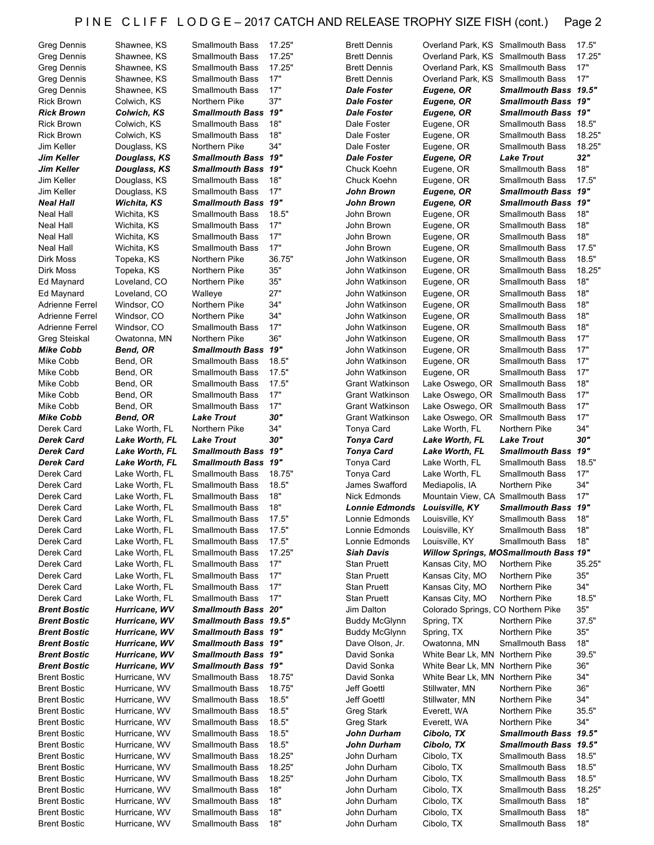| Greg Dennis                                | Shawnee, KS    | <b>Smallmouth Bass</b>     | 17.25" | <b>Brett Dennis</b>                     | Overland Park, KS Smallmouth Bass  |                                       | 17.5"         |
|--------------------------------------------|----------------|----------------------------|--------|-----------------------------------------|------------------------------------|---------------------------------------|---------------|
| <b>Greg Dennis</b>                         | Shawnee, KS    | <b>Smallmouth Bass</b>     | 17.25" | <b>Brett Dennis</b>                     | Overland Park, KS Smallmouth Bass  |                                       | 17.25"        |
| <b>Greg Dennis</b>                         | Shawnee, KS    | <b>Smallmouth Bass</b>     | 17.25" | <b>Brett Dennis</b>                     | Overland Park, KS Smallmouth Bass  |                                       | 17"           |
| <b>Greg Dennis</b>                         | Shawnee, KS    | <b>Smallmouth Bass</b>     | 17"    | <b>Brett Dennis</b>                     | Overland Park, KS Smallmouth Bass  |                                       | 17"           |
| <b>Greg Dennis</b>                         | Shawnee, KS    | <b>Smallmouth Bass</b>     | 17"    | Dale Foster                             | Eugene, OR                         | Smallmouth Bass 19.5"                 |               |
| <b>Rick Brown</b>                          | Colwich, KS    | Northern Pike              | 37"    | <b>Dale Foster</b>                      | Eugene, OR                         | Smallmouth Bass 19"                   |               |
| <b>Rick Brown</b>                          | Colwich, KS    | <b>Smallmouth Bass</b>     | 19"    | <b>Dale Foster</b>                      | Eugene, OR                         | Smallmouth Bass 19"                   |               |
| <b>Rick Brown</b>                          | Colwich, KS    | <b>Smallmouth Bass</b>     | 18"    | Dale Foster                             | Eugene, OR                         | <b>Smallmouth Bass</b>                | 18.5"         |
| <b>Rick Brown</b>                          | Colwich, KS    | <b>Smallmouth Bass</b>     | 18"    | Dale Foster                             | Eugene, OR                         | <b>Smallmouth Bass</b>                | 18.25"        |
| Jim Keller                                 | Douglass, KS   | Northern Pike              | 34"    | Dale Foster                             | Eugene, OR                         | <b>Smallmouth Bass</b>                | 18.25"        |
| Jim Keller                                 | Douglass, KS   | <b>Smallmouth Bass 19"</b> |        | <b>Dale Foster</b>                      | Eugene, OR                         | <b>Lake Trout</b>                     | 32"           |
| Jim Keller                                 | Douglass, KS   | <b>Smallmouth Bass</b>     | 19"    | Chuck Koehn                             | Eugene, OR                         | <b>Smallmouth Bass</b>                | 18"           |
| Jim Keller                                 | Douglass, KS   | <b>Smallmouth Bass</b>     | 18"    | Chuck Koehn                             | Eugene, OR                         | <b>Smallmouth Bass</b>                | 17.5"         |
| Jim Keller                                 | Douglass, KS   | <b>Smallmouth Bass</b>     | 17"    | John Brown                              | Eugene, OR                         | Smallmouth Bass 19"                   |               |
| Neal Hall                                  | Wichita, KS    | Smallmouth Bass 19"        |        | John Brown                              | Eugene, OR                         | Smallmouth Bass 19"                   |               |
| Neal Hall                                  |                | <b>Smallmouth Bass</b>     | 18.5"  | John Brown                              | Eugene, OR                         | <b>Smallmouth Bass</b>                | 18"           |
|                                            | Wichita, KS    |                            | 17"    |                                         |                                    |                                       | 18"           |
| Neal Hall                                  | Wichita, KS    | <b>Smallmouth Bass</b>     | 17"    | John Brown                              | Eugene, OR                         | <b>Smallmouth Bass</b>                | 18"           |
| Neal Hall                                  | Wichita, KS    | <b>Smallmouth Bass</b>     |        | John Brown                              | Eugene, OR                         | <b>Smallmouth Bass</b>                |               |
| Neal Hall                                  | Wichita, KS    | <b>Smallmouth Bass</b>     | 17"    | John Brown                              | Eugene, OR                         | <b>Smallmouth Bass</b>                | 17.5"         |
| Dirk Moss                                  | Topeka, KS     | Northern Pike              | 36.75" | John Watkinson                          | Eugene, OR                         | <b>Smallmouth Bass</b>                | 18.5"         |
| Dirk Moss                                  | Topeka, KS     | Northern Pike              | 35"    | John Watkinson                          | Eugene, OR                         | <b>Smallmouth Bass</b>                | 18.25"        |
| Ed Maynard                                 | Loveland, CO   | Northern Pike              | 35"    | John Watkinson                          | Eugene, OR                         | <b>Smallmouth Bass</b>                | 18"           |
| Ed Maynard                                 | Loveland, CO   | Walleye                    | 27"    | John Watkinson                          | Eugene, OR                         | Smallmouth Bass                       | 18"           |
| <b>Adrienne Ferrel</b>                     | Windsor, CO    | Northern Pike              | 34"    | John Watkinson                          | Eugene, OR                         | <b>Smallmouth Bass</b>                | 18"           |
| <b>Adrienne Ferrel</b>                     | Windsor, CO    | Northern Pike              | 34"    | John Watkinson                          | Eugene, OR                         | <b>Smallmouth Bass</b>                | 18"           |
| Adrienne Ferrel                            | Windsor, CO    | <b>Smallmouth Bass</b>     | 17"    | John Watkinson                          | Eugene, OR                         | <b>Smallmouth Bass</b>                | 18"           |
| Greg Steiskal                              | Owatonna, MN   | Northern Pike              | 36"    | John Watkinson                          | Eugene, OR                         | <b>Smallmouth Bass</b>                | 17"           |
| <b>Mike Cobb</b>                           | Bend, OR       | Smallmouth Bass 19"        |        | John Watkinson                          | Eugene, OR                         | <b>Smallmouth Bass</b>                | 17"           |
| Mike Cobb                                  | Bend, OR       | <b>Smallmouth Bass</b>     | 18.5"  | John Watkinson                          | Eugene, OR                         | <b>Smallmouth Bass</b>                | 17"           |
| Mike Cobb                                  | Bend, OR       | <b>Smallmouth Bass</b>     | 17.5"  | John Watkinson                          | Eugene, OR                         | <b>Smallmouth Bass</b>                | 17"           |
| Mike Cobb                                  | Bend, OR       | <b>Smallmouth Bass</b>     | 17.5"  | <b>Grant Watkinson</b>                  | Lake Oswego, OR                    | <b>Smallmouth Bass</b>                | 18"           |
| Mike Cobb                                  | Bend, OR       | <b>Smallmouth Bass</b>     | 17"    | Grant Watkinson                         | Lake Oswego, OR                    | <b>Smallmouth Bass</b>                | 17"           |
| Mike Cobb                                  | Bend, OR       | <b>Smallmouth Bass</b>     | 17"    | Grant Watkinson                         | Lake Oswego, OR                    | <b>Smallmouth Bass</b>                | 17"           |
| <b>Mike Cobb</b>                           | Bend, OR       | <b>Lake Trout</b>          | 30"    | <b>Grant Watkinson</b>                  | Lake Oswego, OR Smallmouth Bass    |                                       | 17"           |
|                                            |                |                            |        |                                         |                                    |                                       |               |
|                                            |                |                            |        |                                         |                                    |                                       |               |
| Derek Card                                 | Lake Worth, FL | Northern Pike              | 34"    | Tonya Card                              | Lake Worth, FL                     | Northern Pike                         | 34"           |
| <b>Derek Card</b>                          | Lake Worth, FL | <b>Lake Trout</b>          | 30"    | <b>Tonya Card</b>                       | Lake Worth, FL                     | <b>Lake Trout</b>                     | 30"           |
| <b>Derek Card</b>                          | Lake Worth, FL | <b>Smallmouth Bass</b>     | 19"    | <b>Tonya Card</b>                       | Lake Worth, FL                     | <b>Smallmouth Bass</b>                | 19"           |
| <b>Derek Card</b>                          | Lake Worth, FL | <b>Smallmouth Bass 19"</b> |        | Tonya Card                              | Lake Worth, FL                     | <b>Smallmouth Bass</b>                | 18.5"         |
| Derek Card                                 | Lake Worth, FL | <b>Smallmouth Bass</b>     | 18.75" | Tonya Card                              | Lake Worth, FL                     | <b>Smallmouth Bass</b>                | 17"           |
| Derek Card                                 | Lake Worth, FL | <b>Smallmouth Bass</b>     | 18.5"  | James Swafford                          | Mediapolis, IA                     | Northern Pike                         | 34"           |
| Derek Card                                 | Lake Worth, FL | <b>Smallmouth Bass</b>     | 18"    | <b>Nick Edmonds</b>                     | Mountain View, CA Smallmouth Bass  |                                       | 17"           |
| Derek Card                                 | Lake Worth, FL | <b>Smallmouth Bass</b>     | 18"    | Lonnie Edmonds Louisville, KY           |                                    | <b>Smallmouth Bass 19"</b>            |               |
| Derek Card                                 | Lake Worth, FL | Smallmouth Bass            | 17.5"  | Lonnie Edmonds Louisville, KY           |                                    | Smallmouth Bass 18"                   |               |
| Derek Card                                 | Lake Worth, FL | Smallmouth Bass            | 17.5"  | Lonnie Edmonds                          | Louisville, KY                     | <b>Smallmouth Bass</b>                | 18"           |
| Derek Card                                 | Lake Worth, FL | <b>Smallmouth Bass</b>     | 17.5"  | Lonnie Edmonds                          | Louisville, KY                     | <b>Smallmouth Bass</b>                | 18"           |
| Derek Card                                 | Lake Worth, FL | <b>Smallmouth Bass</b>     | 17.25" | Siah Davis                              |                                    | Willow Springs, MOSmallmouth Bass 19" |               |
| Derek Card                                 | Lake Worth, FL | <b>Smallmouth Bass</b>     | 17"    | Stan Pruett                             | Kansas City, MO                    | Northern Pike                         | 35.25"        |
| Derek Card                                 | Lake Worth, FL | <b>Smallmouth Bass</b>     | 17"    | <b>Stan Pruett</b>                      | Kansas City, MO                    | Northern Pike                         | 35"           |
| Derek Card                                 | Lake Worth, FL | <b>Smallmouth Bass</b>     | 17"    | <b>Stan Pruett</b>                      | Kansas City, MO                    | Northern Pike                         | 34"           |
| Derek Card                                 | Lake Worth, FL | <b>Smallmouth Bass</b>     | 17"    | <b>Stan Pruett</b>                      | Kansas City, MO                    | Northern Pike                         | 18.5"         |
| <b>Brent Bostic</b>                        | Hurricane, WV  | Smallmouth Bass 20"        |        | Jim Dalton                              | Colorado Springs, CO Northern Pike |                                       | 35"           |
| <b>Brent Bostic</b>                        | Hurricane, WV  | Smallmouth Bass 19.5"      |        | <b>Buddy McGlynn</b>                    | Spring, TX                         | Northern Pike                         | 37.5"         |
|                                            | Hurricane, WV  |                            |        |                                         | Spring, TX                         |                                       |               |
| <b>Brent Bostic</b><br><b>Brent Bostic</b> |                | Smallmouth Bass 19"        |        | <b>Buddy McGlynn</b><br>Dave Olson, Jr. |                                    | Northern Pike                         | 35"<br>18"    |
|                                            | Hurricane, WV  | <b>Smallmouth Bass 19"</b> |        |                                         | Owatonna, MN                       | <b>Smallmouth Bass</b>                |               |
| <b>Brent Bostic</b>                        | Hurricane, WV  | <b>Smallmouth Bass 19"</b> |        | David Sonka                             | White Bear Lk, MN Northern Pike    |                                       | 39.5"         |
| <b>Brent Bostic</b>                        | Hurricane, WV  | <b>Smallmouth Bass 19"</b> |        | David Sonka                             | White Bear Lk, MN Northern Pike    |                                       | 36"           |
| <b>Brent Bostic</b>                        | Hurricane, WV  | <b>Smallmouth Bass</b>     | 18.75" | David Sonka                             | White Bear Lk, MN                  | Northern Pike                         | 34"           |
| <b>Brent Bostic</b>                        | Hurricane, WV  | <b>Smallmouth Bass</b>     | 18.75" | Jeff Goettl                             | Stillwater, MN                     | Northern Pike                         | 36"           |
| <b>Brent Bostic</b>                        | Hurricane, WV  | <b>Smallmouth Bass</b>     | 18.5"  | Jeff Goettl                             | Stillwater, MN                     | Northern Pike                         | 34"           |
| <b>Brent Bostic</b>                        | Hurricane, WV  | <b>Smallmouth Bass</b>     | 18.5"  | <b>Greg Stark</b>                       | Everett, WA                        | Northern Pike                         | 35.5"         |
| <b>Brent Bostic</b>                        | Hurricane, WV  | <b>Smallmouth Bass</b>     | 18.5"  | Greg Stark                              | Everett, WA                        | Northern Pike                         | 34"           |
| <b>Brent Bostic</b>                        | Hurricane, WV  | <b>Smallmouth Bass</b>     | 18.5"  | John Durham                             | Cibolo, TX                         | Smallmouth Bass 19.5"                 |               |
| <b>Brent Bostic</b>                        | Hurricane, WV  | <b>Smallmouth Bass</b>     | 18.5"  | John Durham                             | Cibolo, TX                         | Smallmouth Bass 19.5"                 |               |
| <b>Brent Bostic</b>                        | Hurricane, WV  | <b>Smallmouth Bass</b>     | 18.25" | John Durham                             | Cibolo, TX                         | <b>Smallmouth Bass</b>                | 18.5"         |
| <b>Brent Bostic</b>                        | Hurricane, WV  | <b>Smallmouth Bass</b>     | 18.25" | John Durham                             | Cibolo, TX                         | <b>Smallmouth Bass</b>                | 18.5"         |
| <b>Brent Bostic</b>                        | Hurricane, WV  | <b>Smallmouth Bass</b>     | 18.25" | John Durham                             | Cibolo, TX                         | <b>Smallmouth Bass</b>                | 18.5"         |
| <b>Brent Bostic</b>                        | Hurricane, WV  | <b>Smallmouth Bass</b>     | 18"    | John Durham                             | Cibolo, TX                         | <b>Smallmouth Bass</b>                |               |
| <b>Brent Bostic</b>                        | Hurricane, WV  | <b>Smallmouth Bass</b>     | 18"    | John Durham                             | Cibolo, TX                         | <b>Smallmouth Bass</b>                | 18.25"<br>18" |
| <b>Brent Bostic</b>                        | Hurricane, WV  | <b>Smallmouth Bass</b>     | 18"    | John Durham                             | Cibolo, TX                         | <b>Smallmouth Bass</b>                | 18"           |
| <b>Brent Bostic</b>                        | Hurricane, WV  | <b>Smallmouth Bass</b>     | 18"    | John Durham                             | Cibolo, TX                         | <b>Smallmouth Bass</b>                | 18"           |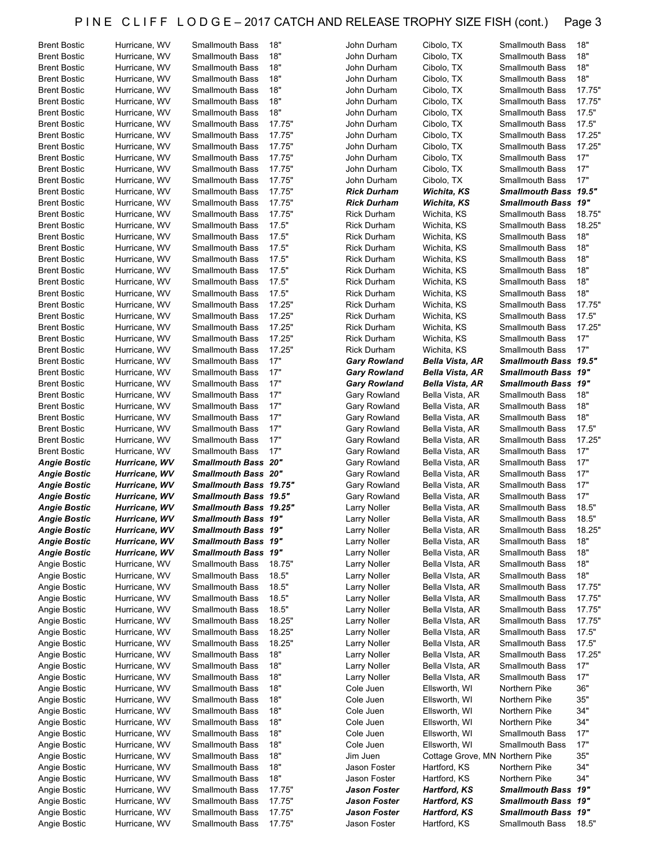| Brent Bostic                 | Hurricane, WV                  | Smallmouth Bass                                  | 18"              | John Durham                  | Cibolo, TX                      | Smallmouth Bass                        | 18"    |
|------------------------------|--------------------------------|--------------------------------------------------|------------------|------------------------------|---------------------------------|----------------------------------------|--------|
| <b>Brent Bostic</b>          | Hurricane, WV                  | <b>Smallmouth Bass</b>                           | 18"              | John Durham                  | Cibolo, TX                      | <b>Smallmouth Bass</b>                 | 18"    |
| Brent Bostic                 | Hurricane, WV                  | <b>Smallmouth Bass</b>                           | 18"              | John Durham                  | Cibolo, TX                      | <b>Smallmouth Bass</b>                 | 18"    |
|                              |                                |                                                  |                  |                              |                                 |                                        |        |
| Brent Bostic                 | Hurricane, WV                  | <b>Smallmouth Bass</b>                           | 18"              | John Durham                  | Cibolo, TX                      | <b>Smallmouth Bass</b>                 | 18"    |
| <b>Brent Bostic</b>          | Hurricane, WV                  | <b>Smallmouth Bass</b>                           | 18"              | John Durham                  | Cibolo, TX                      | <b>Smallmouth Bass</b>                 | 17.75" |
| <b>Brent Bostic</b>          | Hurricane, WV                  | <b>Smallmouth Bass</b>                           | 18"              | John Durham                  | Cibolo, TX                      | <b>Smallmouth Bass</b>                 | 17.75" |
| Brent Bostic                 | Hurricane, WV                  | <b>Smallmouth Bass</b>                           | 18"              | John Durham                  | Cibolo, TX                      | <b>Smallmouth Bass</b>                 | 17.5"  |
| <b>Brent Bostic</b>          | Hurricane, WV                  | <b>Smallmouth Bass</b>                           | 17.75"           | John Durham                  | Cibolo, TX                      | <b>Smallmouth Bass</b>                 | 17.5"  |
|                              |                                |                                                  |                  |                              |                                 |                                        | 17.25" |
| <b>Brent Bostic</b>          | Hurricane, WV                  | <b>Smallmouth Bass</b>                           | 17.75"           | John Durham                  | Cibolo, TX                      | <b>Smallmouth Bass</b>                 |        |
| <b>Brent Bostic</b>          | Hurricane, WV                  | <b>Smallmouth Bass</b>                           | 17.75"           | John Durham                  | Cibolo, TX                      | <b>Smallmouth Bass</b>                 | 17.25" |
| Brent Bostic                 | Hurricane, WV                  | <b>Smallmouth Bass</b>                           | 17.75"           | John Durham                  | Cibolo, TX                      | <b>Smallmouth Bass</b>                 | 17"    |
| <b>Brent Bostic</b>          | Hurricane, WV                  | <b>Smallmouth Bass</b>                           | 17.75"           | John Durham                  | Cibolo, TX                      | <b>Smallmouth Bass</b>                 | 17"    |
| <b>Brent Bostic</b>          | Hurricane, WV                  | <b>Smallmouth Bass</b>                           | 17.75"           | John Durham                  | Cibolo, TX                      | <b>Smallmouth Bass</b>                 | 17"    |
| <b>Brent Bostic</b>          |                                |                                                  | 17.75"           |                              |                                 | Smallmouth Bass 19.5"                  |        |
|                              | Hurricane, WV                  | <b>Smallmouth Bass</b>                           |                  | <b>Rick Durham</b>           | Wichita, KS                     |                                        |        |
| <b>Brent Bostic</b>          | Hurricane, WV                  | <b>Smallmouth Bass</b>                           | 17.75"           | <b>Rick Durham</b>           | Wichita, KS                     | <b>Smallmouth Bass 19"</b>             |        |
| <b>Brent Bostic</b>          | Hurricane, WV                  | <b>Smallmouth Bass</b>                           | 17.75"           | <b>Rick Durham</b>           | Wichita, KS                     | <b>Smallmouth Bass</b>                 | 18.75" |
| <b>Brent Bostic</b>          | Hurricane, WV                  | <b>Smallmouth Bass</b>                           | 17.5"            | <b>Rick Durham</b>           | Wichita, KS                     | <b>Smallmouth Bass</b>                 | 18.25" |
| <b>Brent Bostic</b>          | Hurricane, WV                  | <b>Smallmouth Bass</b>                           | 17.5"            | <b>Rick Durham</b>           | Wichita, KS                     | <b>Smallmouth Bass</b>                 | 18"    |
| <b>Brent Bostic</b>          | Hurricane, WV                  | <b>Smallmouth Bass</b>                           | 17.5"            | <b>Rick Durham</b>           | Wichita, KS                     | <b>Smallmouth Bass</b>                 | 18"    |
|                              |                                |                                                  |                  |                              |                                 |                                        |        |
| <b>Brent Bostic</b>          | Hurricane, WV                  | <b>Smallmouth Bass</b>                           | 17.5"            | <b>Rick Durham</b>           | Wichita, KS                     | <b>Smallmouth Bass</b>                 | 18"    |
| <b>Brent Bostic</b>          | Hurricane, WV                  | <b>Smallmouth Bass</b>                           | 17.5"            | <b>Rick Durham</b>           | Wichita, KS                     | <b>Smallmouth Bass</b>                 | 18"    |
| <b>Brent Bostic</b>          | Hurricane, WV                  | <b>Smallmouth Bass</b>                           | 17.5"            | <b>Rick Durham</b>           | Wichita, KS                     | <b>Smallmouth Bass</b>                 | 18"    |
| <b>Brent Bostic</b>          | Hurricane, WV                  | <b>Smallmouth Bass</b>                           | 17.5"            | <b>Rick Durham</b>           | Wichita, KS                     | <b>Smallmouth Bass</b>                 | 18"    |
| <b>Brent Bostic</b>          | Hurricane, WV                  | <b>Smallmouth Bass</b>                           | 17.25"           | <b>Rick Durham</b>           | Wichita, KS                     | <b>Smallmouth Bass</b>                 | 17.75" |
|                              |                                |                                                  |                  |                              |                                 |                                        |        |
| <b>Brent Bostic</b>          | Hurricane, WV                  | <b>Smallmouth Bass</b>                           | 17.25"           | <b>Rick Durham</b>           | Wichita, KS                     | <b>Smallmouth Bass</b>                 | 17.5"  |
| <b>Brent Bostic</b>          | Hurricane, WV                  | <b>Smallmouth Bass</b>                           | 17.25"           | <b>Rick Durham</b>           | Wichita, KS                     | <b>Smallmouth Bass</b>                 | 17.25" |
| <b>Brent Bostic</b>          | Hurricane, WV                  | <b>Smallmouth Bass</b>                           | 17.25"           | <b>Rick Durham</b>           | Wichita, KS                     | <b>Smallmouth Bass</b>                 | 17"    |
| <b>Brent Bostic</b>          | Hurricane, WV                  | <b>Smallmouth Bass</b>                           | 17.25"           | <b>Rick Durham</b>           | Wichita, KS                     | <b>Smallmouth Bass</b>                 | 17"    |
| <b>Brent Bostic</b>          | Hurricane, WV                  | <b>Smallmouth Bass</b>                           | 17"              | <b>Gary Rowland</b>          | Bella Vista, AR                 | Smallmouth Bass 19.5"                  |        |
| <b>Brent Bostic</b>          | Hurricane, WV                  | <b>Smallmouth Bass</b>                           | 17"              | <b>Gary Rowland</b>          | Bella Vista, AR                 | Smallmouth Bass 19"                    |        |
|                              |                                |                                                  | 17"              |                              |                                 | Smallmouth Bass 19"                    |        |
| <b>Brent Bostic</b>          | Hurricane, WV                  | <b>Smallmouth Bass</b>                           |                  | <b>Gary Rowland</b>          | Bella Vista, AR                 |                                        |        |
| <b>Brent Bostic</b>          | Hurricane, WV                  | <b>Smallmouth Bass</b>                           | 17"              | Gary Rowland                 | Bella Vista, AR                 | <b>Smallmouth Bass</b>                 | 18"    |
| <b>Brent Bostic</b>          | Hurricane, WV                  | <b>Smallmouth Bass</b>                           | 17"              | Gary Rowland                 | Bella Vista, AR                 | <b>Smallmouth Bass</b>                 | 18"    |
| <b>Brent Bostic</b>          | Hurricane, WV                  | <b>Smallmouth Bass</b>                           | 17"              | Gary Rowland                 | Bella Vista, AR                 | <b>Smallmouth Bass</b>                 | 18"    |
|                              |                                |                                                  |                  |                              |                                 |                                        |        |
|                              |                                |                                                  |                  |                              |                                 |                                        |        |
| <b>Brent Bostic</b>          | Hurricane, WV                  | <b>Smallmouth Bass</b>                           | 17"              | Gary Rowland                 | Bella Vista, AR                 | <b>Smallmouth Bass</b>                 | 17.5"  |
| <b>Brent Bostic</b>          | Hurricane, WV                  | <b>Smallmouth Bass</b>                           | 17"              | Gary Rowland                 | Bella Vista, AR                 | <b>Smallmouth Bass</b>                 | 17.25" |
| Brent Bostic                 | Hurricane, WV                  | <b>Smallmouth Bass</b>                           | 17"              | Gary Rowland                 | Bella Vista, AR                 | <b>Smallmouth Bass</b>                 | 17"    |
| Angie Bostic                 | Hurricane, WV                  | <b>Smallmouth Bass 20"</b>                       |                  | Gary Rowland                 | Bella Vista, AR                 | <b>Smallmouth Bass</b>                 | 17"    |
| <b>Angie Bostic</b>          | Hurricane, WV                  | <b>Smallmouth Bass 20"</b>                       |                  | Gary Rowland                 | Bella Vista, AR                 | <b>Smallmouth Bass</b>                 | 17"    |
|                              | Hurricane, WV                  | Smallmouth Bass 19.75"                           |                  |                              | Bella Vista, AR                 | <b>Smallmouth Bass</b>                 | 17"    |
| <b>Angie Bostic</b>          |                                |                                                  |                  | Gary Rowland                 |                                 |                                        |        |
| <b>Angie Bostic</b>          | Hurricane, WV                  | Smallmouth Bass 19.5"                            |                  | Gary Rowland                 | Bella Vista, AR                 | <b>Smallmouth Bass</b>                 | 17"    |
| <b>Angie Bostic</b>          | Hurricane, WV                  | Smallmouth Bass 19.25"                           |                  | Larry Noller                 | Bella Vista, AR                 | <b>Smallmouth Bass</b>                 | 18.5"  |
| <b>Angie Bostic</b>          | Hurricane, WV                  | <b>Smallmouth Bass 19"</b>                       |                  | Larry Noller                 | Bella Vista, AR                 | Smallmouth Bass                        | 18.5"  |
| Angie Bostic                 | Hurricane, WV                  | <b>Smallmouth Bass 19"</b>                       |                  | Larry Noller                 | Bella Vista, AR                 | Smallmouth Bass                        | 18.25" |
| <b>Angie Bostic</b>          | Hurricane, WV                  | <b>Smallmouth Bass 19"</b>                       |                  | Larry Noller                 | Bella Vista, AR                 | <b>Smallmouth Bass</b>                 | 18"    |
|                              |                                |                                                  |                  |                              |                                 |                                        |        |
| <b>Angie Bostic</b>          | Hurricane, WV                  | <b>Smallmouth Bass 19"</b>                       |                  | Larry Noller                 | Bella Vista, AR                 | <b>Smallmouth Bass</b>                 | 18"    |
| Angie Bostic                 | Hurricane, WV                  | Smallmouth Bass                                  | 18.75"           | Larry Noller                 | Bella VIsta, AR                 | Smallmouth Bass                        | 18"    |
| Angie Bostic                 | Hurricane, WV                  | <b>Smallmouth Bass</b>                           | 18.5"            | Larry Noller                 | Bella VIsta, AR                 | <b>Smallmouth Bass</b>                 | 18"    |
| Angie Bostic                 | Hurricane, WV                  | Smallmouth Bass                                  | 18.5"            | Larry Noller                 | Bella VIsta, AR                 | <b>Smallmouth Bass</b>                 | 17.75" |
| Angie Bostic                 | Hurricane, WV                  | <b>Smallmouth Bass</b>                           | 18.5"            | Larry Noller                 | Bella VIsta, AR                 | <b>Smallmouth Bass</b>                 | 17.75" |
|                              |                                |                                                  |                  |                              |                                 |                                        |        |
| Angie Bostic                 | Hurricane, WV                  | <b>Smallmouth Bass</b>                           | 18.5"            | Larry Noller                 | Bella VIsta, AR                 | <b>Smallmouth Bass</b>                 | 17.75" |
| Angie Bostic                 | Hurricane, WV                  | <b>Smallmouth Bass</b>                           | 18.25"           | Larry Noller                 | Bella VIsta, AR                 | <b>Smallmouth Bass</b>                 | 17.75" |
| Angie Bostic                 | Hurricane, WV                  | <b>Smallmouth Bass</b>                           | 18.25"           | Larry Noller                 | Bella VIsta, AR                 | <b>Smallmouth Bass</b>                 | 17.5"  |
| Angie Bostic                 | Hurricane, WV                  | <b>Smallmouth Bass</b>                           | 18.25"           | Larry Noller                 | Bella VIsta, AR                 | <b>Smallmouth Bass</b>                 | 17.5"  |
| Angie Bostic                 | Hurricane, WV                  | <b>Smallmouth Bass</b>                           | 18"              | Larry Noller                 | Bella VIsta, AR                 | <b>Smallmouth Bass</b>                 | 17.25" |
| Angie Bostic                 |                                | <b>Smallmouth Bass</b>                           | 18"              | Larry Noller                 | Bella VIsta, AR                 | <b>Smallmouth Bass</b>                 | 17"    |
|                              | Hurricane, WV                  |                                                  |                  |                              |                                 |                                        |        |
| Angie Bostic                 | Hurricane, WV                  | <b>Smallmouth Bass</b>                           | 18"              | Larry Noller                 | Bella VIsta, AR                 | <b>Smallmouth Bass</b>                 | 17"    |
| Angie Bostic                 | Hurricane, WV                  | <b>Smallmouth Bass</b>                           | 18"              | Cole Juen                    | Ellsworth, WI                   | Northern Pike                          | 36"    |
| Angie Bostic                 | Hurricane, WV                  | <b>Smallmouth Bass</b>                           | 18"              | Cole Juen                    | Ellsworth, WI                   | Northern Pike                          | 35"    |
| Angie Bostic                 | Hurricane, WV                  | <b>Smallmouth Bass</b>                           | 18"              | Cole Juen                    | Ellsworth, WI                   | Northern Pike                          | 34"    |
| Angie Bostic                 | Hurricane, WV                  | <b>Smallmouth Bass</b>                           | 18"              | Cole Juen                    | Ellsworth, WI                   | Northern Pike                          | 34"    |
| Angie Bostic                 | Hurricane, WV                  | Smallmouth Bass                                  | 18"              | Cole Juen                    | Ellsworth, WI                   | <b>Smallmouth Bass</b>                 | 17"    |
|                              |                                |                                                  |                  |                              |                                 |                                        |        |
| Angie Bostic                 | Hurricane, WV                  | <b>Smallmouth Bass</b>                           | 18"              | Cole Juen                    | Ellsworth, WI                   | <b>Smallmouth Bass</b>                 | 17"    |
| Angie Bostic                 | Hurricane, WV                  | Smallmouth Bass                                  | 18"              | Jim Juen                     | Cottage Grove, MN Northern Pike |                                        | 35"    |
| Angie Bostic                 | Hurricane, WV                  | <b>Smallmouth Bass</b>                           | 18"              | Jason Foster                 | Hartford, KS                    | Northern Pike                          | 34"    |
| Angie Bostic                 | Hurricane, WV                  | Smallmouth Bass                                  | 18"              | Jason Foster                 | Hartford, KS                    | Northern Pike                          | 34"    |
| Angie Bostic                 | Hurricane, WV                  | <b>Smallmouth Bass</b>                           | 17.75"           | Jason Foster                 | Hartford, KS                    | Smallmouth Bass 19"                    |        |
| Angie Bostic                 |                                | <b>Smallmouth Bass</b>                           | 17.75"           | Jason Foster                 | Hartford, KS                    | Smallmouth Bass 19"                    |        |
|                              | Hurricane, WV                  |                                                  |                  |                              |                                 |                                        |        |
| Angie Bostic<br>Angie Bostic | Hurricane, WV<br>Hurricane, WV | <b>Smallmouth Bass</b><br><b>Smallmouth Bass</b> | 17.75"<br>17.75" | Jason Foster<br>Jason Foster | Hartford, KS<br>Hartford, KS    | Smallmouth Bass 19"<br>Smallmouth Bass | 18.5"  |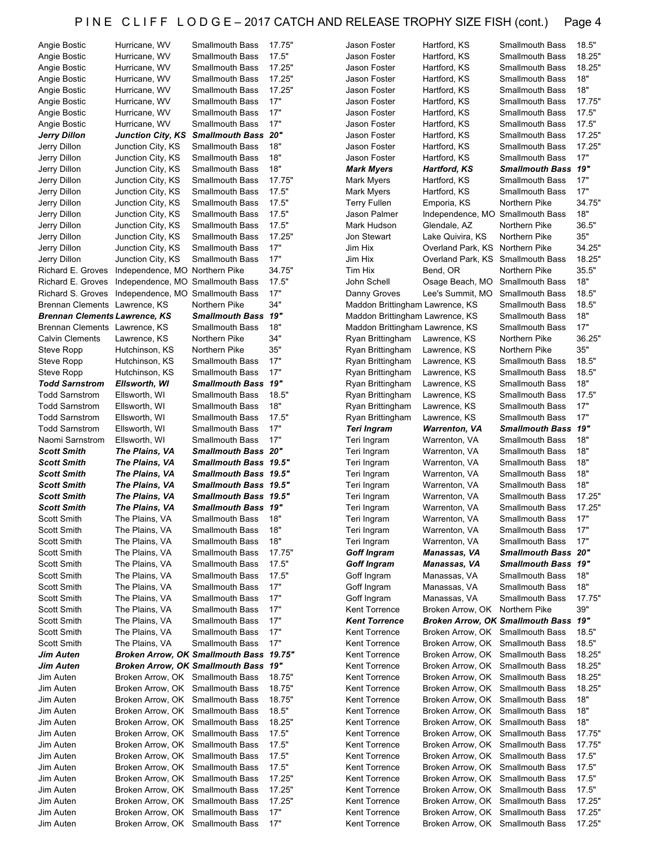| Angie Bostic                         | Hurricane, WV                           | Smallmouth Bass                         | 17.75"     | Jason Foster                    | Hartford, KS                      | Smallmouth Bass                         | 18.5"            |
|--------------------------------------|-----------------------------------------|-----------------------------------------|------------|---------------------------------|-----------------------------------|-----------------------------------------|------------------|
| Angie Bostic                         | Hurricane, WV                           | Smallmouth Bass                         | 17.5"      | Jason Foster                    | Hartford, KS                      | <b>Smallmouth Bass</b>                  | 18.25"           |
| Angie Bostic                         | Hurricane, WV                           | Smallmouth Bass                         | 17.25"     | Jason Foster                    | Hartford, KS                      | <b>Smallmouth Bass</b>                  | 18.25"           |
| Angie Bostic                         | Hurricane, WV                           | Smallmouth Bass                         | 17.25"     | Jason Foster                    | Hartford, KS                      | <b>Smallmouth Bass</b>                  | 18"              |
| Angie Bostic                         | Hurricane, WV                           | Smallmouth Bass                         | 17.25"     | Jason Foster                    | Hartford, KS                      | <b>Smallmouth Bass</b>                  | 18"              |
|                                      |                                         |                                         |            |                                 |                                   |                                         |                  |
| Angie Bostic                         | Hurricane, WV                           | <b>Smallmouth Bass</b>                  | 17"        | Jason Foster                    | Hartford, KS                      | <b>Smallmouth Bass</b>                  | 17.75"           |
| Angie Bostic                         | Hurricane, WV                           | Smallmouth Bass                         | 17"        | Jason Foster                    | Hartford, KS                      | <b>Smallmouth Bass</b>                  | 17.5"            |
| Angie Bostic                         | Hurricane, WV                           | Smallmouth Bass                         | 17"        | Jason Foster                    | Hartford, KS                      | <b>Smallmouth Bass</b>                  | 17.5"            |
| Jerry Dillon                         | Junction City, KS                       | <b>Smallmouth Bass</b>                  | 20"        | Jason Foster                    | Hartford, KS                      | <b>Smallmouth Bass</b>                  | 17.25"           |
| Jerry Dillon                         | Junction City, KS                       | <b>Smallmouth Bass</b>                  | 18"        | Jason Foster                    | Hartford, KS                      | <b>Smallmouth Bass</b>                  | 17.25"           |
| Jerry Dillon                         |                                         |                                         | 18"        |                                 | Hartford, KS                      | <b>Smallmouth Bass</b>                  | 17"              |
|                                      | Junction City, KS                       | Smallmouth Bass                         |            | Jason Foster                    |                                   |                                         |                  |
| Jerry Dillon                         | Junction City, KS                       | <b>Smallmouth Bass</b>                  | 18"        | <b>Mark Myers</b>               | Hartford, KS                      | Smallmouth Bass 19"                     |                  |
| Jerry Dillon                         | Junction City, KS                       | Smallmouth Bass                         | 17.75"     | Mark Myers                      | Hartford, KS                      | <b>Smallmouth Bass</b>                  | 17"              |
| Jerry Dillon                         | Junction City, KS                       | Smallmouth Bass                         | 17.5"      | Mark Myers                      | Hartford, KS                      | <b>Smallmouth Bass</b>                  | 17"              |
| Jerry Dillon                         | Junction City, KS                       | Smallmouth Bass                         | 17.5"      | <b>Terry Fullen</b>             | Emporia, KS                       | Northern Pike                           | 34.75"           |
| Jerry Dillon                         | Junction City, KS                       | Smallmouth Bass                         | 17.5"      | Jason Palmer                    | Independence, MO Smallmouth Bass  |                                         | 18"              |
|                                      |                                         |                                         |            |                                 |                                   |                                         |                  |
| Jerry Dillon                         | Junction City, KS                       | Smallmouth Bass                         | 17.5"      | Mark Hudson                     | Glendale, AZ                      | Northern Pike                           | 36.5"            |
| Jerry Dillon                         | Junction City, KS                       | Smallmouth Bass                         | 17.25"     | Jon Stewart                     | Lake Quivira, KS                  | Northern Pike                           | 35"              |
| Jerry Dillon                         | Junction City, KS                       | <b>Smallmouth Bass</b>                  | 17"        | Jim Hix                         | Overland Park, KS Northern Pike   |                                         | 34.25"           |
| Jerry Dillon                         | Junction City, KS                       | Smallmouth Bass                         | 17"        | Jim Hix                         | Overland Park, KS Smallmouth Bass |                                         | 18.25"           |
| Richard E. Groves                    | Independence, MO Northern Pike          |                                         | 34.75"     | Tim Hix                         | Bend, OR                          | Northern Pike                           | 35.5"            |
| Richard E. Groves                    | Independence, MO Smallmouth Bass        |                                         | 17.5"      | John Schell                     |                                   |                                         | 18"              |
|                                      |                                         |                                         |            |                                 | Osage Beach, MO                   | <b>Smallmouth Bass</b>                  |                  |
| Richard S. Groves                    | Independence, MO Smallmouth Bass        |                                         | 17"        | Danny Groves                    | Lee's Summit, MO                  | <b>Smallmouth Bass</b>                  | 18.5"            |
| Brennan Clements Lawrence, KS        |                                         | Northern Pike                           | 34"        | Maddon Brittingham Lawrence, KS |                                   | <b>Smallmouth Bass</b>                  | 18.5"            |
| <b>Brennan Clements Lawrence, KS</b> |                                         | <b>Smallmouth Bass</b>                  | 19"        | Maddon Brittingham Lawrence, KS |                                   | <b>Smallmouth Bass</b>                  | 18"              |
| Brennan Clements Lawrence, KS        |                                         | Smallmouth Bass                         | 18"        | Maddon Brittingham Lawrence, KS |                                   | <b>Smallmouth Bass</b>                  | 17"              |
| <b>Calvin Clements</b>               | Lawrence, KS                            | Northern Pike                           | 34"        |                                 |                                   | Northern Pike                           | 36.25"           |
|                                      |                                         |                                         |            | Ryan Brittingham                | Lawrence, KS                      |                                         |                  |
| Steve Ropp                           | Hutchinson, KS                          | Northern Pike                           | 35"        | Ryan Brittingham                | Lawrence, KS                      | Northern Pike                           | 35"              |
| Steve Ropp                           | Hutchinson, KS                          | Smallmouth Bass                         | 17"        | Ryan Brittingham                | Lawrence, KS                      | <b>Smallmouth Bass</b>                  | 18.5"            |
| Steve Ropp                           | Hutchinson, KS                          | Smallmouth Bass                         | 17"        | Ryan Brittingham                | Lawrence, KS                      | <b>Smallmouth Bass</b>                  | 18.5"            |
| <b>Todd Sarnstrom</b>                | Ellsworth, WI                           | <b>Smallmouth Bass</b>                  | 19"        | Ryan Brittingham                | Lawrence, KS                      | <b>Smallmouth Bass</b>                  | 18"              |
| <b>Todd Sarnstrom</b>                | Ellsworth, WI                           | Smallmouth Bass                         | 18.5"      | Ryan Brittingham                | Lawrence, KS                      | <b>Smallmouth Bass</b>                  | 17.5"            |
|                                      |                                         | Smallmouth Bass                         | 18"        |                                 |                                   | <b>Smallmouth Bass</b>                  | 17"              |
| <b>Todd Sarnstrom</b>                | Ellsworth, WI                           |                                         |            | Ryan Brittingham                | Lawrence, KS                      |                                         |                  |
| <b>Todd Sarnstrom</b>                | Ellsworth, WI                           | Smallmouth Bass                         | 17.5"      | Ryan Brittingham                | Lawrence, KS                      | <b>Smallmouth Bass</b>                  | 17"              |
|                                      |                                         |                                         |            |                                 |                                   |                                         |                  |
| <b>Todd Sarnstrom</b>                | Ellsworth, WI                           | Smallmouth Bass                         | 17"        | <b>Teri Ingram</b>              | <b>Warrenton, VA</b>              | <b>Smallmouth Bass</b>                  | 19"              |
| Naomi Sarnstrom                      | Ellsworth, WI                           | <b>Smallmouth Bass</b>                  | 17"        |                                 | Warrenton, VA                     | <b>Smallmouth Bass</b>                  | 18"              |
|                                      |                                         |                                         |            | Teri Ingram                     |                                   |                                         |                  |
| <b>Scott Smith</b>                   | The Plains, VA                          | <b>Smallmouth Bass 20"</b>              |            | Teri Ingram                     | Warrenton, VA                     | <b>Smallmouth Bass</b>                  | 18"              |
| <b>Scott Smith</b>                   | The Plains, VA                          | Smallmouth Bass 19.5"                   |            | Teri Ingram                     | Warrenton, VA                     | <b>Smallmouth Bass</b>                  | 18"              |
| <b>Scott Smith</b>                   | The Plains, VA                          | Smallmouth Bass 19.5"                   |            | Teri Ingram                     | Warrenton, VA                     | <b>Smallmouth Bass</b>                  | 18"              |
| <b>Scott Smith</b>                   | The Plains, VA                          | Smallmouth Bass 19.5"                   |            | Teri Ingram                     | Warrenton, VA                     | <b>Smallmouth Bass</b>                  | 18"              |
| <b>Scott Smith</b>                   | The Plains, VA                          | Smallmouth Bass 19.5"                   |            | Teri Ingram                     | Warrenton, VA                     | Smallmouth Bass                         | 17.25"           |
| <b>Scott Smith</b>                   |                                         | <b>Smallmouth Bass 19"</b>              |            |                                 |                                   | <b>Smallmouth Bass</b>                  | 17.25"           |
|                                      | The Plains, VA                          |                                         |            | Teri Ingram                     | Warrenton, VA                     |                                         |                  |
| Scott Smith                          | The Plains, VA                          | Smallmouth Bass                         | 18"        | Teri Ingram                     | Warrenton, VA                     | Smallmouth Bass                         | 17"              |
| Scott Smith                          | The Plains, VA                          | Smallmouth Bass                         | 18"        | Teri Ingram                     | Warrenton, VA                     | Smallmouth Bass                         | 17"              |
| Scott Smith                          | The Plains, VA                          | Smallmouth Bass                         | 18"        | Teri Ingram                     | Warrenton, VA                     | Smallmouth Bass                         | 17"              |
| <b>Scott Smith</b>                   | The Plains, VA                          | Smallmouth Bass                         | 17.75"     | Goff Ingram                     | Manassas, VA                      | <b>Smallmouth Bass 20"</b>              |                  |
| <b>Scott Smith</b>                   | The Plains, VA                          | Smallmouth Bass                         | 17.5"      | <b>Goff Ingram</b>              | Manassas, VA                      | Smallmouth Bass 19"                     |                  |
|                                      |                                         |                                         |            |                                 |                                   |                                         |                  |
| Scott Smith                          | The Plains, VA                          | Smallmouth Bass                         | 17.5"      | Goff Ingram                     | Manassas, VA                      | <b>Smallmouth Bass</b>                  | 18"              |
| Scott Smith                          | The Plains, VA                          | Smallmouth Bass                         | 17"        | Goff Ingram                     | Manassas, VA                      | <b>Smallmouth Bass</b>                  | 18"              |
| Scott Smith                          | The Plains, VA                          | Smallmouth Bass                         | 17"        | Goff Ingram                     | Manassas, VA                      | <b>Smallmouth Bass</b>                  | 17.75"           |
| Scott Smith                          | The Plains, VA                          | Smallmouth Bass                         | 17"        | <b>Kent Torrence</b>            | Broken Arrow, OK Northern Pike    |                                         | 39"              |
| Scott Smith                          | The Plains, VA                          | Smallmouth Bass                         | 17"        | <b>Kent Torrence</b>            |                                   | <b>Broken Arrow, OK Smallmouth Bass</b> | 19"              |
| <b>Scott Smith</b>                   | The Plains, VA                          | <b>Smallmouth Bass</b>                  | 17"        | <b>Kent Torrence</b>            | Broken Arrow, OK Smallmouth Bass  |                                         | 18.5"            |
|                                      |                                         |                                         |            |                                 |                                   |                                         |                  |
| <b>Scott Smith</b>                   | The Plains, VA                          | Smallmouth Bass                         | 17"        | Kent Torrence                   | Broken Arrow, OK Smallmouth Bass  |                                         | 18.5"            |
| Jim Auten                            |                                         | Broken Arrow, OK Smallmouth Bass 19.75" |            | <b>Kent Torrence</b>            | Broken Arrow, OK Smallmouth Bass  |                                         | 18.25"           |
| Jim Auten                            | <b>Broken Arrow, OK Smallmouth Bass</b> |                                         | 19"        | <b>Kent Torrence</b>            | Broken Arrow, OK Smallmouth Bass  |                                         | 18.25"           |
| Jim Auten                            | Broken Arrow, OK Smallmouth Bass        |                                         | 18.75"     | Kent Torrence                   | Broken Arrow, OK Smallmouth Bass  |                                         | 18.25"           |
| Jim Auten                            | Broken Arrow, OK Smallmouth Bass        |                                         | 18.75"     | Kent Torrence                   | Broken Arrow, OK Smallmouth Bass  |                                         | 18.25"           |
| Jim Auten                            | Broken Arrow, OK Smallmouth Bass        |                                         | 18.75"     | <b>Kent Torrence</b>            | Broken Arrow, OK Smallmouth Bass  |                                         | 18"              |
|                                      |                                         |                                         |            |                                 |                                   |                                         |                  |
| Jim Auten                            | Broken Arrow, OK Smallmouth Bass        |                                         | 18.5"      | <b>Kent Torrence</b>            | Broken Arrow, OK Smallmouth Bass  |                                         | 18"              |
| Jim Auten                            | Broken Arrow, OK Smallmouth Bass        |                                         | 18.25"     | <b>Kent Torrence</b>            | Broken Arrow, OK Smallmouth Bass  |                                         | 18"              |
| Jim Auten                            | Broken Arrow, OK Smallmouth Bass        |                                         | 17.5"      | Kent Torrence                   | Broken Arrow, OK Smallmouth Bass  |                                         | 17.75"           |
| Jim Auten                            | Broken Arrow, OK                        | <b>Smallmouth Bass</b>                  | 17.5"      | Kent Torrence                   | Broken Arrow, OK Smallmouth Bass  |                                         | 17.75"           |
| Jim Auten                            | Broken Arrow, OK                        | <b>Smallmouth Bass</b>                  | 17.5"      | Kent Torrence                   | Broken Arrow, OK Smallmouth Bass  |                                         | 17.5"            |
|                                      |                                         | <b>Smallmouth Bass</b>                  | 17.5"      | Kent Torrence                   |                                   |                                         | 17.5"            |
| Jim Auten                            | Broken Arrow, OK                        |                                         |            |                                 | Broken Arrow, OK Smallmouth Bass  |                                         |                  |
| Jim Auten                            | Broken Arrow, OK Smallmouth Bass        |                                         | 17.25"     | Kent Torrence                   | Broken Arrow, OK Smallmouth Bass  |                                         | 17.5"            |
| Jim Auten                            | Broken Arrow, OK Smallmouth Bass        |                                         | 17.25"     | Kent Torrence                   | Broken Arrow, OK Smallmouth Bass  |                                         | 17.5"            |
| Jim Auten                            | Broken Arrow, OK Smallmouth Bass        |                                         | 17.25"     | Kent Torrence                   | Broken Arrow, OK Smallmouth Bass  |                                         | 17.25"           |
| Jim Auten                            | Broken Arrow, OK Smallmouth Bass        |                                         | 17"<br>17" | Kent Torrence                   | Broken Arrow, OK Smallmouth Bass  |                                         | 17.25"<br>17.25" |

| Jason Foster                    | Hartford, KS                            | Smallmouth Bass        | 18.5"  |
|---------------------------------|-----------------------------------------|------------------------|--------|
| Jason Foster                    | Hartford, KS                            | <b>Smallmouth Bass</b> | 18.25" |
| Jason Foster                    | Hartford, KS                            | <b>Smallmouth Bass</b> | 18.25" |
| Jason Foster                    | Hartford, KS                            | <b>Smallmouth Bass</b> | 18"    |
| Jason Foster                    | Hartford, KS                            | <b>Smallmouth Bass</b> | 18"    |
| Jason Foster                    | Hartford, KS                            | <b>Smallmouth Bass</b> | 17.75" |
| Jason Foster                    |                                         | <b>Smallmouth Bass</b> | 17.5"  |
|                                 | Hartford, KS                            |                        |        |
| Jason Foster                    | Hartford, KS                            | <b>Smallmouth Bass</b> | 17.5"  |
| Jason Foster                    | Hartford, KS                            | <b>Smallmouth Bass</b> | 17.25" |
| Jason Foster                    | Hartford, KS                            | <b>Smallmouth Bass</b> | 17.25" |
| Jason Foster                    | Hartford, KS                            | <b>Smallmouth Bass</b> | 17"    |
| <b>Mark Myers</b>               | Hartford, KS                            | <b>Smallmouth Bass</b> | 19"    |
| <b>Mark Myers</b>               | Hartford, KS                            | <b>Smallmouth Bass</b> | 17"    |
| <b>Mark Myers</b>               | Hartford, KS                            | <b>Smallmouth Bass</b> | 17"    |
| <b>Terry Fullen</b>             | Emporia, KS                             | Northern Pike          | 34.75" |
| Jason Palmer                    | Independence, MO Smallmouth Bass        |                        | 18"    |
| Mark Hudson                     | Glendale, AZ                            | Northern Pike          | 36.5"  |
|                                 |                                         |                        |        |
| <b>Jon Stewart</b>              | Lake Quivira, KS                        | Northern Pike          | 35"    |
| Jim Hix                         | Overland Park, KS                       | Northern Pike          | 34.25" |
| Jim Hix                         | Overland Park. KS                       | <b>Smallmouth Bass</b> | 18.25" |
| Tim Hix                         | Bend, OR                                | Northern Pike          | 35.5"  |
| John Schell                     | Osage Beach, MO                         | <b>Smallmouth Bass</b> | 18"    |
| Danny Groves                    | Lee's Summit, MO                        | <b>Smallmouth Bass</b> | 18.5"  |
| Maddon Brittingham Lawrence, KS |                                         | <b>Smallmouth Bass</b> | 18.5"  |
| Maddon Brittingham Lawrence, KS |                                         | <b>Smallmouth Bass</b> | 18"    |
| Maddon Brittingham Lawrence, KS |                                         | <b>Smallmouth Bass</b> | 17"    |
|                                 |                                         |                        |        |
| Ryan Brittingham                | Lawrence, KS                            | Northern Pike          | 36.25" |
| Ryan Brittingham                | Lawrence, KS                            | Northern Pike          | 35"    |
| Ryan Brittingham                | Lawrence, KS                            | <b>Smallmouth Bass</b> | 18.5"  |
| Ryan Brittingham                | Lawrence, KS                            | <b>Smallmouth Bass</b> | 18.5"  |
| Ryan Brittingham                | Lawrence, KS                            | <b>Smallmouth Bass</b> | 18"    |
| Ryan Brittingham                | Lawrence, KS                            | <b>Smallmouth Bass</b> | 17.5"  |
| Ryan Brittingham                | Lawrence, KS                            | <b>Smallmouth Bass</b> | 17"    |
| Ryan Brittingham                | Lawrence, KS                            | <b>Smallmouth Bass</b> | 17"    |
| Teri Ingram                     | <b>Warrenton, VA</b>                    | <b>Smallmouth Bass</b> | 19"    |
|                                 | Warrenton, VA                           | <b>Smallmouth Bass</b> | 18"    |
| Teri Ingram                     |                                         |                        |        |
| Teri Ingram                     | Warrenton, VA                           | <b>Smallmouth Bass</b> | 18"    |
| Teri Ingram                     | Warrenton, VA                           | <b>Smallmouth Bass</b> | 18"    |
| Teri Ingram                     | Warrenton, VA                           | <b>Smallmouth Bass</b> | 18"    |
| Teri Ingram                     | Warrenton, VA                           | <b>Smallmouth Bass</b> | 18"    |
| Teri Ingram                     | Warrenton, VA                           | <b>Smallmouth Bass</b> | 17.25" |
| Teri Ingram                     | Warrenton, VA                           | <b>Smallmouth Bass</b> | 17.25" |
| Teri Ingram                     | Warrenton, VA                           | Smallmouth Bass        | 17"    |
| Teri Ingram                     | Warrenton, VA                           | <b>Smallmouth Bass</b> | 17"    |
| Teri Ingram                     | Warrenton, VA                           | <b>Smallmouth Bass</b> | 17"    |
| <b>Goff Ingram</b>              | Manassas, VA                            | <b>Smallmouth Bass</b> | 20"    |
|                                 |                                         | <b>Smallmouth Bass</b> | 19"    |
| <b>Goff Ingram</b>              | Manassas, VA                            |                        |        |
| Goff Ingram                     | Manassas, VA                            | Smallmouth Bass        | 18"    |
| Goff Ingram                     | Manassas, VA                            | <b>Smallmouth Bass</b> | 18"    |
| Goff Ingram                     | Manassas, VA                            | <b>Smallmouth Bass</b> | 17.75" |
| Kent Torrence                   | Broken Arrow, OK                        | Northern Pike          | 39"    |
| Kent Torrence                   | <b>Broken Arrow, OK Smallmouth Bass</b> |                        | 19"    |
| Kent Torrence                   | Broken Arrow, OK                        | <b>Smallmouth Bass</b> | 18.5"  |
| <b>Kent Torrence</b>            | Broken Arrow, OK                        | <b>Smallmouth Bass</b> | 18.5"  |
| Kent Torrence                   | Broken Arrow, OK                        | <b>Smallmouth Bass</b> | 18.25" |
| Kent Torrence                   | Broken Arrow, OK                        | Smallmouth Bass        | 18.25" |
|                                 |                                         |                        |        |
| <b>Kent Torrence</b>            | Broken Arrow, OK                        | <b>Smallmouth Bass</b> | 18.25" |
| <b>Kent Torrence</b>            | Broken Arrow, OK                        | <b>Smallmouth Bass</b> | 18.25" |
| <b>Kent Torrence</b>            | Broken Arrow, OK                        | Smallmouth Bass        | 18"    |
| Kent Torrence                   | Broken Arrow, OK                        | <b>Smallmouth Bass</b> | 18"    |
| Kent Torrence                   | Broken Arrow, OK                        | <b>Smallmouth Bass</b> | 18"    |
| <b>Kent Torrence</b>            | Broken Arrow, OK                        | <b>Smallmouth Bass</b> | 17.75" |
| <b>Kent Torrence</b>            | Broken Arrow, OK                        | <b>Smallmouth Bass</b> | 17.75" |
| Kent Torrence                   | Broken Arrow, OK                        | <b>Smallmouth Bass</b> | 17.5"  |
| <b>Kent Torrence</b>            |                                         | <b>Smallmouth Bass</b> |        |
|                                 | Broken Arrow, OK                        |                        | 17.5"  |
| Kent Torrence                   | Broken Arrow, OK                        | <b>Smallmouth Bass</b> | 17.5"  |
| Kent Torrence                   | Broken Arrow, OK                        | <b>Smallmouth Bass</b> | 17.5"  |
| Kent Torrence                   | Broken Arrow, OK                        | <b>Smallmouth Bass</b> | 17.25" |
| Kent Torrence                   | Broken Arrow, OK                        | <b>Smallmouth Bass</b> | 17.25" |
| Kent Torrence                   | Broken Arrow, OK                        | <b>Smallmouth Bass</b> | 17.25" |
|                                 |                                         |                        |        |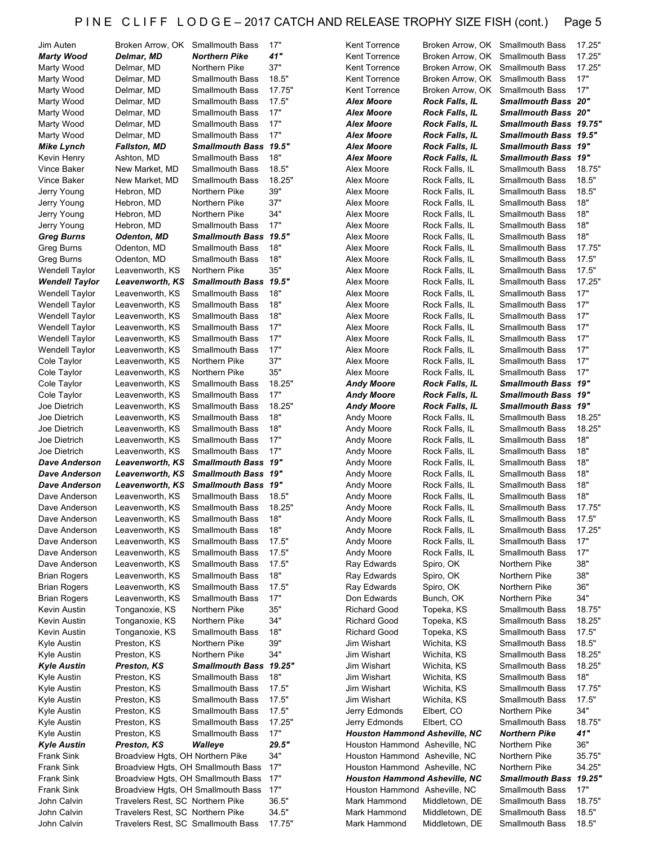| Jim Auten             | Broken Arrow, OK                   | <b>Smallmouth Bass</b>             | 17"    | <b>Kent Torrence</b>                 | Broken Arrow, OK                 | <b>Smallmouth Bass</b>        | 17.25" |
|-----------------------|------------------------------------|------------------------------------|--------|--------------------------------------|----------------------------------|-------------------------------|--------|
| <b>Marty Wood</b>     | Delmar, MD                         | <b>Northern Pike</b>               | 41"    | Kent Torrence                        | Broken Arrow, OK Smallmouth Bass |                               | 17.25" |
| Marty Wood            | Delmar, MD                         | Northern Pike                      | 37"    | Kent Torrence                        | Broken Arrow, OK                 | <b>Smallmouth Bass</b>        | 17.25" |
| Marty Wood            | Delmar, MD                         | <b>Smallmouth Bass</b>             | 18.5"  | Kent Torrence                        | Broken Arrow, OK                 | <b>Smallmouth Bass</b>        | 17"    |
| Marty Wood            | Delmar, MD                         | <b>Smallmouth Bass</b>             | 17.75" | <b>Kent Torrence</b>                 | Broken Arrow, OK                 | <b>Smallmouth Bass</b>        | 17"    |
| Marty Wood            | Delmar, MD                         | <b>Smallmouth Bass</b>             | 17.5"  | <b>Alex Moore</b>                    | <b>Rock Falls, IL</b>            | <b>Smallmouth Bass 20"</b>    |        |
|                       |                                    |                                    | 17"    |                                      |                                  |                               |        |
| Marty Wood            | Delmar, MD                         | <b>Smallmouth Bass</b>             |        | Alex Moore                           | <b>Rock Falls, IL</b>            | <b>Smallmouth Bass 20"</b>    |        |
| Marty Wood            | Delmar, MD                         | <b>Smallmouth Bass</b>             | 17"    | <b>Alex Moore</b>                    | <b>Rock Falls, IL</b>            | <b>Smallmouth Bass 19.75"</b> |        |
| Marty Wood            | Delmar, MD                         | <b>Smallmouth Bass</b>             | 17"    | <b>Alex Moore</b>                    | <b>Rock Falls, IL</b>            | Smallmouth Bass 19.5"         |        |
| Mike Lynch            | <b>Fallston, MD</b>                | Smallmouth Bass 19.5"              |        | <b>Alex Moore</b>                    | <b>Rock Falls, IL</b>            | <b>Smallmouth Bass 19"</b>    |        |
| Kevin Henry           | Ashton, MD                         | <b>Smallmouth Bass</b>             | 18"    | <b>Alex Moore</b>                    | <b>Rock Falls, IL</b>            | <b>Smallmouth Bass 19"</b>    |        |
| Vince Baker           | New Market, MD                     | <b>Smallmouth Bass</b>             | 18.5"  | Alex Moore                           | Rock Falls, IL                   | <b>Smallmouth Bass</b>        | 18.75" |
| <b>Vince Baker</b>    | New Market, MD                     | <b>Smallmouth Bass</b>             | 18.25" | Alex Moore                           | Rock Falls, IL                   | <b>Smallmouth Bass</b>        | 18.5"  |
| Jerry Young           | Hebron, MD                         | Northern Pike                      | 39"    | Alex Moore                           | Rock Falls, IL                   | <b>Smallmouth Bass</b>        | 18.5"  |
| Jerry Young           | Hebron, MD                         | Northern Pike                      | 37"    | Alex Moore                           | Rock Falls, IL                   | <b>Smallmouth Bass</b>        | 18"    |
|                       |                                    |                                    |        |                                      |                                  |                               |        |
| Jerry Young           | Hebron, MD                         | Northern Pike                      | 34"    | Alex Moore                           | Rock Falls, IL                   | <b>Smallmouth Bass</b>        | 18"    |
| Jerry Young           | Hebron, MD                         | <b>Smallmouth Bass</b>             | 17"    | Alex Moore                           | Rock Falls, IL                   | <b>Smallmouth Bass</b>        | 18"    |
| <b>Greg Burns</b>     | <b>Odenton, MD</b>                 | <b>Smallmouth Bass</b>             | 19.5"  | Alex Moore                           | Rock Falls, IL                   | <b>Smallmouth Bass</b>        | 18"    |
| Greg Burns            | Odenton, MD                        | <b>Smallmouth Bass</b>             | 18"    | Alex Moore                           | Rock Falls, IL                   | <b>Smallmouth Bass</b>        | 17.75" |
| Greg Burns            | Odenton, MD                        | <b>Smallmouth Bass</b>             | 18"    | Alex Moore                           | Rock Falls, IL                   | <b>Smallmouth Bass</b>        | 17.5"  |
| <b>Wendell Taylor</b> | Leavenworth, KS                    | Northern Pike                      | 35"    | Alex Moore                           | Rock Falls, IL                   | <b>Smallmouth Bass</b>        | 17.5"  |
| <b>Wendell Taylor</b> | Leavenworth, KS                    | Smallmouth Bass 19.5"              |        | Alex Moore                           | Rock Falls, IL                   | <b>Smallmouth Bass</b>        | 17.25" |
| <b>Wendell Taylor</b> | Leavenworth, KS                    | <b>Smallmouth Bass</b>             | 18"    | Alex Moore                           | Rock Falls, IL                   | <b>Smallmouth Bass</b>        | 17"    |
|                       |                                    | <b>Smallmouth Bass</b>             | 18"    | Alex Moore                           |                                  |                               | 17"    |
| <b>Wendell Taylor</b> | Leavenworth, KS                    |                                    |        |                                      | Rock Falls, IL                   | <b>Smallmouth Bass</b>        |        |
| Wendell Taylor        | Leavenworth, KS                    | <b>Smallmouth Bass</b>             | 18"    | Alex Moore                           | Rock Falls, IL                   | <b>Smallmouth Bass</b>        | 17"    |
| Wendell Taylor        | Leavenworth, KS                    | <b>Smallmouth Bass</b>             | 17"    | Alex Moore                           | Rock Falls, IL                   | <b>Smallmouth Bass</b>        | 17"    |
| <b>Wendell Taylor</b> | Leavenworth, KS                    | <b>Smallmouth Bass</b>             | 17"    | Alex Moore                           | Rock Falls, IL                   | <b>Smallmouth Bass</b>        | 17"    |
| <b>Wendell Taylor</b> | Leavenworth, KS                    | <b>Smallmouth Bass</b>             | 17"    | Alex Moore                           | Rock Falls, IL                   | <b>Smallmouth Bass</b>        | 17"    |
| Cole Taylor           | Leavenworth, KS                    | Northern Pike                      | 37"    | Alex Moore                           | Rock Falls, IL                   | <b>Smallmouth Bass</b>        | 17"    |
| Cole Taylor           | Leavenworth, KS                    | Northern Pike                      | 35"    | Alex Moore                           | Rock Falls, IL                   | <b>Smallmouth Bass</b>        | 17"    |
| Cole Taylor           | Leavenworth, KS                    | <b>Smallmouth Bass</b>             | 18.25" | Andy Moore                           | <b>Rock Falls, IL</b>            | Smallmouth Bass 19"           |        |
| Cole Taylor           | Leavenworth, KS                    | <b>Smallmouth Bass</b>             | 17"    | Andy Moore                           | <b>Rock Falls, IL</b>            | <b>Smallmouth Bass 19"</b>    |        |
|                       |                                    |                                    |        |                                      |                                  |                               |        |
| Joe Dietrich          | Leavenworth, KS                    | <b>Smallmouth Bass</b>             | 18.25" | Andy Moore                           | <b>Rock Falls, IL</b>            | Smallmouth Bass 19"           |        |
| Joe Dietrich          | Leavenworth, KS                    | <b>Smallmouth Bass</b>             | 18"    | Andy Moore                           | Rock Falls, IL                   | <b>Smallmouth Bass</b>        | 18.25" |
| Joe Dietrich          | Leavenworth, KS                    | <b>Smallmouth Bass</b>             | 18"    | Andy Moore                           | Rock Falls, IL                   | <b>Smallmouth Bass</b>        | 18.25" |
|                       |                                    |                                    |        |                                      |                                  |                               |        |
| Joe Dietrich          | Leavenworth, KS                    | <b>Smallmouth Bass</b>             | 17"    | Andy Moore                           | Rock Falls, IL                   | <b>Smallmouth Bass</b>        | 18"    |
| Joe Dietrich          | Leavenworth, KS                    | <b>Smallmouth Bass</b>             | 17"    |                                      | Rock Falls, IL                   | <b>Smallmouth Bass</b>        | 18"    |
| <b>Dave Anderson</b>  | Leavenworth, KS                    | <b>Smallmouth Bass 19"</b>         |        | Andy Moore                           |                                  | <b>Smallmouth Bass</b>        | 18"    |
|                       |                                    |                                    |        | Andy Moore                           | Rock Falls, IL                   |                               |        |
| <b>Dave Anderson</b>  | Leavenworth, KS                    | Smallmouth Bass 19"                |        | Andy Moore                           | Rock Falls, IL                   | <b>Smallmouth Bass</b>        | 18"    |
| <b>Dave Anderson</b>  | Leavenworth, KS                    | Smallmouth Bass 19"                |        | Andy Moore                           | Rock Falls, IL                   | <b>Smallmouth Bass</b>        | 18"    |
| Dave Anderson         | Leavenworth, KS                    | <b>Smallmouth Bass</b>             | 18.5"  | Andy Moore                           | Rock Falls, IL                   | <b>Smallmouth Bass</b>        | 18"    |
| Dave Anderson         | Leavenworth, KS                    | <b>Smallmouth Bass</b>             | 18.25" | Andy Moore                           | Rock Falls, IL                   | <b>Smallmouth Bass</b>        | 17.75" |
| Dave Anderson         | Leavenworth, KS                    | <b>Smallmouth Bass</b>             | 18"    | Andy Moore                           | Rock Falls, IL                   | Smallmouth Bass               | 17.5"  |
| Dave Anderson         | Leavenworth, KS                    | Smallmouth Bass                    | 18"    | Andy Moore                           | Rock Falls, IL                   | Smallmouth Bass               | 17.25" |
| Dave Anderson         | Leavenworth, KS                    | <b>Smallmouth Bass</b>             | 17.5"  | Andy Moore                           | Rock Falls, IL                   | Smallmouth Bass               | 17"    |
| Dave Anderson         | Leavenworth, KS                    | <b>Smallmouth Bass</b>             | 17.5"  | Andy Moore                           | Rock Falls, IL                   | <b>Smallmouth Bass</b>        | 17"    |
|                       |                                    | <b>Smallmouth Bass</b>             |        |                                      |                                  |                               |        |
| Dave Anderson         | Leavenworth, KS                    |                                    | 17.5"  | Ray Edwards                          | Spiro, OK                        | Northern Pike                 | 38"    |
| <b>Brian Rogers</b>   | Leavenworth, KS                    | <b>Smallmouth Bass</b>             | 18"    | Ray Edwards                          | Spiro, OK                        | Northern Pike                 | 38"    |
| <b>Brian Rogers</b>   | Leavenworth, KS                    | <b>Smallmouth Bass</b>             | 17.5"  | Ray Edwards                          | Spiro, OK                        | Northern Pike                 | 36"    |
| <b>Brian Rogers</b>   | Leavenworth, KS                    | <b>Smallmouth Bass</b>             | 17"    | Don Edwards                          | Bunch, OK                        | Northern Pike                 | 34"    |
| Kevin Austin          | Tonganoxie, KS                     | Northern Pike                      | 35"    | Richard Good                         | Topeka, KS                       | <b>Smallmouth Bass</b>        | 18.75" |
| Kevin Austin          | Tonganoxie, KS                     | Northern Pike                      | 34"    | Richard Good                         | Topeka, KS                       | <b>Smallmouth Bass</b>        | 18.25" |
| Kevin Austin          | Tonganoxie, KS                     | <b>Smallmouth Bass</b>             | 18"    | Richard Good                         | Topeka, KS                       | <b>Smallmouth Bass</b>        | 17.5"  |
| Kyle Austin           | Preston, KS                        | Northern Pike                      | 39"    | Jim Wishart                          |                                  | <b>Smallmouth Bass</b>        | 18.5"  |
|                       |                                    |                                    |        |                                      | Wichita, KS                      |                               |        |
| Kyle Austin           | Preston, KS                        | Northern Pike                      | 34"    | Jim Wishart                          | Wichita, KS                      | <b>Smallmouth Bass</b>        | 18.25" |
| <b>Kyle Austin</b>    | Preston, KS                        | Smallmouth Bass                    | 19.25" | Jim Wishart                          | Wichita, KS                      | <b>Smallmouth Bass</b>        | 18.25" |
| Kyle Austin           | Preston, KS                        | Smallmouth Bass                    | 18"    | Jim Wishart                          | Wichita, KS                      | <b>Smallmouth Bass</b>        | 18"    |
| Kyle Austin           | Preston, KS                        | <b>Smallmouth Bass</b>             | 17.5"  | Jim Wishart                          | Wichita, KS                      | <b>Smallmouth Bass</b>        | 17.75" |
| Kyle Austin           | Preston, KS                        | <b>Smallmouth Bass</b>             | 17.5"  | Jim Wishart                          | Wichita, KS                      | <b>Smallmouth Bass</b>        | 17.5"  |
| Kyle Austin           | Preston, KS                        | <b>Smallmouth Bass</b>             | 17.5"  | Jerry Edmonds                        | Elbert, CO                       | Northern Pike                 | 34"    |
| Kyle Austin           | Preston, KS                        | <b>Smallmouth Bass</b>             | 17.25" | Jerry Edmonds                        | Elbert, CO                       | <b>Smallmouth Bass</b>        | 18.75" |
| Kyle Austin           | Preston, KS                        | <b>Smallmouth Bass</b>             | 17"    | <b>Houston Hammond Asheville, NC</b> |                                  | Northern Pike                 | 41"    |
|                       | Preston, KS                        | Walleye                            | 29.5"  | Houston Hammond Asheville, NC        |                                  | Northern Pike                 | 36"    |
| <b>Kyle Austin</b>    |                                    |                                    |        |                                      |                                  |                               |        |
| <b>Frank Sink</b>     | Broadview Hgts, OH Northern Pike   |                                    | 34"    | Houston Hammond Asheville, NC        |                                  | Northern Pike                 | 35.75" |
| <b>Frank Sink</b>     |                                    | Broadview Hgts, OH Smallmouth Bass | 17"    | Houston Hammond Asheville, NC        |                                  | Northern Pike                 | 34.25" |
| <b>Frank Sink</b>     |                                    | Broadview Hgts, OH Smallmouth Bass | 17"    | <b>Houston Hammond Asheville, NC</b> |                                  | <b>Smallmouth Bass</b>        | 19.25" |
| <b>Frank Sink</b>     |                                    | Broadview Hgts, OH Smallmouth Bass | 17"    | Houston Hammond Asheville, NC        |                                  | <b>Smallmouth Bass</b>        | 17"    |
| John Calvin           | Travelers Rest, SC Northern Pike   |                                    | 36.5"  | Mark Hammond                         | Middletown, DE                   | <b>Smallmouth Bass</b>        | 18.75" |
| John Calvin           | Travelers Rest, SC Northern Pike   |                                    | 34.5"  | Mark Hammond                         | Middletown, DE                   | <b>Smallmouth Bass</b>        | 18.5"  |
| John Calvin           | Travelers Rest, SC Smallmouth Bass |                                    | 17.75" | Mark Hammond                         | Middletown, DE                   | <b>Smallmouth Bass</b>        | 18.5"  |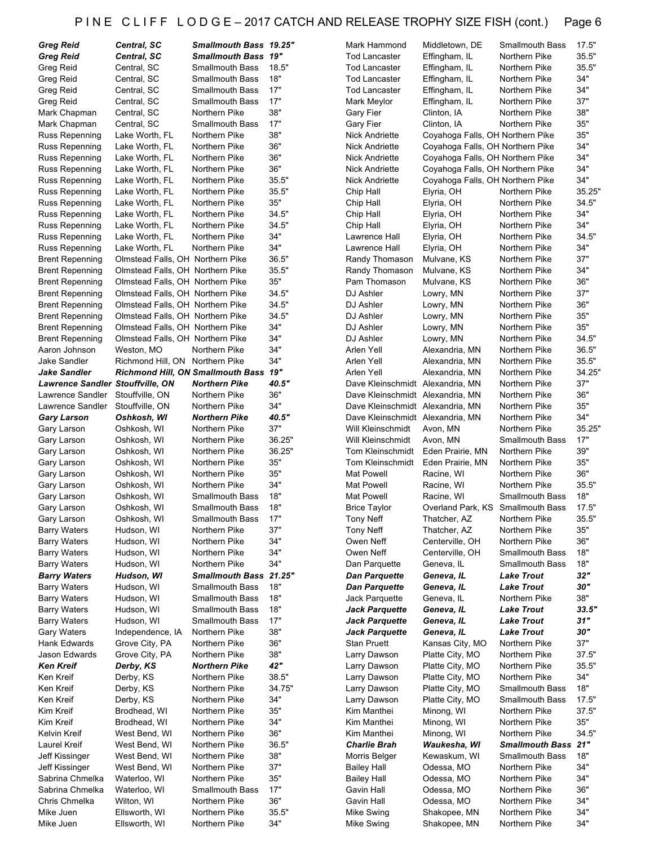| <b>Greg Reid</b>                        | <b>Central, SC</b>                       | Smallmouth Bass 19.25"     |        | Mark Hammond                     | Middletown, DE                    | <b>Smallmouth Bass</b> | 17.5"  |
|-----------------------------------------|------------------------------------------|----------------------------|--------|----------------------------------|-----------------------------------|------------------------|--------|
| <b>Greg Reid</b>                        | Central, SC                              | <b>Smallmouth Bass 19"</b> |        | <b>Tod Lancaster</b>             | Effingham, IL                     | Northern Pike          | 35.5"  |
| Greg Reid                               | Central, SC                              | <b>Smallmouth Bass</b>     | 18.5"  | <b>Tod Lancaster</b>             | Effingham, IL                     | Northern Pike          | 35.5"  |
| Greg Reid                               | Central, SC                              | <b>Smallmouth Bass</b>     | 18"    | <b>Tod Lancaster</b>             | Effingham, IL                     | Northern Pike          | 34"    |
| Greg Reid                               | Central, SC                              | <b>Smallmouth Bass</b>     | 17"    | <b>Tod Lancaster</b>             | Effingham, IL                     | Northern Pike          | 34"    |
| Greg Reid                               | Central, SC                              | <b>Smallmouth Bass</b>     | 17"    | Mark Meylor                      | Effingham, IL                     | Northern Pike          | 37"    |
| Mark Chapman                            | Central, SC                              | Northern Pike              | 38"    | Gary Fier                        | Clinton, IA                       | Northern Pike          | 38"    |
| Mark Chapman                            | Central, SC                              | <b>Smallmouth Bass</b>     | 17"    | <b>Gary Fier</b>                 | Clinton, IA                       | Northern Pike          | 35"    |
|                                         |                                          | Northern Pike              | 38"    | <b>Nick Andriette</b>            | Coyahoga Falls, OH Northern Pike  |                        | 35"    |
| <b>Russ Repenning</b>                   | Lake Worth, FL                           | Northern Pike              | 36"    |                                  |                                   |                        | 34"    |
| <b>Russ Repenning</b>                   | Lake Worth, FL                           |                            |        | Nick Andriette                   | Coyahoga Falls, OH Northern Pike  |                        |        |
| <b>Russ Repenning</b>                   | Lake Worth, FL                           | Northern Pike              | 36"    | <b>Nick Andriette</b>            | Coyahoga Falls, OH Northern Pike  |                        | 34"    |
| Russ Repenning                          | Lake Worth, FL                           | Northern Pike              | 36"    | Nick Andriette                   | Coyahoga Falls, OH Northern Pike  |                        | 34"    |
| <b>Russ Repenning</b>                   | Lake Worth, FL                           | Northern Pike              | 35.5"  | <b>Nick Andriette</b>            | Coyahoga Falls, OH Northern Pike  |                        | 34"    |
| <b>Russ Repenning</b>                   | Lake Worth, FL                           | Northern Pike              | 35.5"  | Chip Hall                        | Elyria, OH                        | Northern Pike          | 35.25" |
| <b>Russ Repenning</b>                   | Lake Worth, FL                           | Northern Pike              | 35"    | Chip Hall                        | Elyria, OH                        | Northern Pike          | 34.5"  |
| <b>Russ Repenning</b>                   | Lake Worth, FL                           | Northern Pike              | 34.5"  | Chip Hall                        | Elyria, OH                        | Northern Pike          | 34"    |
| Russ Repenning                          | Lake Worth, FL                           | Northern Pike              | 34.5"  | Chip Hall                        | Elyria, OH                        | Northern Pike          | 34"    |
| Russ Repenning                          | Lake Worth, FL                           | Northern Pike              | 34"    | Lawrence Hall                    | Elyria, OH                        | Northern Pike          | 34.5"  |
| <b>Russ Repenning</b>                   | Lake Worth, FL                           | Northern Pike              | 34"    | Lawrence Hall                    | Elyria, OH                        | Northern Pike          | 34"    |
| <b>Brent Repenning</b>                  | Olmstead Falls, OH Northern Pike         |                            | 36.5"  | Randy Thomason                   | Mulvane, KS                       | Northern Pike          | 37"    |
| <b>Brent Repenning</b>                  | Olmstead Falls, OH Northern Pike         |                            | 35.5"  | Randy Thomason                   | Mulvane, KS                       | Northern Pike          | 34"    |
|                                         |                                          |                            | 35"    | Pam Thomason                     | Mulvane, KS                       | Northern Pike          | 36"    |
| <b>Brent Repenning</b>                  | Olmstead Falls, OH Northern Pike         |                            |        |                                  |                                   |                        |        |
| <b>Brent Repenning</b>                  | Olmstead Falls, OH Northern Pike         |                            | 34.5"  | DJ Ashler                        | Lowry, MN                         | Northern Pike          | 37"    |
| <b>Brent Repenning</b>                  | Olmstead Falls, OH Northern Pike         |                            | 34.5"  | DJ Ashler                        | Lowry, MN                         | Northern Pike          | 36"    |
| <b>Brent Repenning</b>                  | Olmstead Falls, OH Northern Pike         |                            | 34.5"  | DJ Ashler                        | Lowry, MN                         | Northern Pike          | 35"    |
| <b>Brent Repenning</b>                  | Olmstead Falls, OH Northern Pike         |                            | 34"    | DJ Ashler                        | Lowry, MN                         | Northern Pike          | 35"    |
| <b>Brent Repenning</b>                  | Olmstead Falls, OH Northern Pike         |                            | 34"    | DJ Ashler                        | Lowry, MN                         | Northern Pike          | 34.5"  |
| Aaron Johnson                           | Weston, MO                               | Northern Pike              | 34"    | Arlen Yell                       | Alexandria, MN                    | Northern Pike          | 36.5"  |
| Jake Sandler                            | Richmond Hill, ON Northern Pike          |                            | 34"    | Arlen Yell                       | Alexandria, MN                    | Northern Pike          | 35.5"  |
| <b>Jake Sandler</b>                     | <b>Richmond Hill, ON Smallmouth Bass</b> |                            | 19"    | Arlen Yell                       | Alexandria, MN                    | Northern Pike          | 34.25" |
| <b>Lawrence Sandler Stouffville, ON</b> |                                          | <b>Northern Pike</b>       | 40.5"  | Dave Kleinschmidt Alexandria, MN |                                   | Northern Pike          | 37"    |
| Lawrence Sandler                        | Stouffville, ON                          | Northern Pike              | 36"    | Dave Kleinschmidt Alexandria, MN |                                   | Northern Pike          | 36"    |
| Lawrence Sandler                        | Stouffville, ON                          | Northern Pike              | 34"    | Dave Kleinschmidt Alexandria, MN |                                   | Northern Pike          | 35"    |
| <b>Gary Larson</b>                      | Oshkosh, WI                              | <b>Northern Pike</b>       | 40.5"  | Dave Kleinschmidt Alexandria, MN |                                   | Northern Pike          | 34"    |
| Gary Larson                             | Oshkosh, WI                              | Northern Pike              | 37"    | Will Kleinschmidt                | Avon, MN                          | Northern Pike          | 35.25" |
|                                         |                                          |                            |        |                                  |                                   |                        |        |
| Gary Larson                             | Oshkosh, WI                              | Northern Pike              | 36.25" | Will Kleinschmidt                | Avon, MN                          | <b>Smallmouth Bass</b> | 17"    |
| Gary Larson                             | Oshkosh, WI                              | Northern Pike              | 36.25" | Tom Kleinschmidt                 | Eden Prairie, MN                  | Northern Pike          | 39"    |
| Gary Larson                             | Oshkosh, WI                              | Northern Pike              | 35"    | Tom Kleinschmidt                 | Eden Prairie, MN                  | Northern Pike          | 35"    |
| Gary Larson                             | Oshkosh, WI                              | Northern Pike              | 35"    | <b>Mat Powell</b>                | Racine, WI                        | Northern Pike          | 36"    |
| Gary Larson                             | Oshkosh, WI                              | Northern Pike              | 34"    | Mat Powell                       | Racine, WI                        | Northern Pike          | 35.5"  |
| Gary Larson                             | Oshkosh, WI                              | <b>Smallmouth Bass</b>     | 18"    | Mat Powell                       | Racine, WI                        | <b>Smallmouth Bass</b> | 18"    |
| Gary Larson                             | Oshkosh, WI                              | <b>Smallmouth Bass</b>     | 18"    | <b>Brice Taylor</b>              | Overland Park, KS Smallmouth Bass |                        | 17.5"  |
| Gary Larson                             | Oshkosh, WI                              | Smallmouth Bass            | 17"    | <b>Tony Neff</b>                 | Thatcher, AZ                      | Northern Pike          | 35.5"  |
| <b>Barry Waters</b>                     | Hudson, WI                               | Northern Pike              | 37"    | <b>Tony Neff</b>                 | Thatcher, AZ                      | Northern Pike          | 35"    |
| <b>Barry Waters</b>                     | Hudson, WI                               | Northern Pike              | 34"    | Owen Neff                        | Centerville, OH                   | Northern Pike          | 36"    |
| <b>Barry Waters</b>                     | Hudson, WI                               | Northern Pike              | 34"    | Owen Neff                        | Centerville, OH                   | <b>Smallmouth Bass</b> | 18"    |
| <b>Barry Waters</b>                     | Hudson, WI                               | Northern Pike              | 34"    | Dan Parquette                    | Geneva, IL                        | <b>Smallmouth Bass</b> | 18"    |
| <b>Barry Waters</b>                     | Hudson, WI                               | <b>Smallmouth Bass</b>     | 21.25" | Dan Parquette                    | Geneva, IL                        | <b>Lake Trout</b>      | 32"    |
| <b>Barry Waters</b>                     | Hudson, WI                               | <b>Smallmouth Bass</b>     | 18"    | Dan Parquette                    | Geneva, IL                        | <b>Lake Trout</b>      | 30"    |
|                                         |                                          |                            | 18"    |                                  |                                   |                        | 38"    |
| <b>Barry Waters</b>                     | Hudson, WI                               | <b>Smallmouth Bass</b>     |        | Jack Parquette                   | Geneva, IL                        | Northern Pike          |        |
| <b>Barry Waters</b>                     | Hudson, WI                               | Smallmouth Bass            | 18"    | <b>Jack Parquette</b>            | Geneva, IL                        | <b>Lake Trout</b>      | 33.5"  |
| <b>Barry Waters</b>                     | Hudson, WI                               | <b>Smallmouth Bass</b>     | 17"    | <b>Jack Parquette</b>            | Geneva, IL                        | <b>Lake Trout</b>      | 31"    |
| <b>Gary Waters</b>                      | Independence, IA                         | Northern Pike              | 38"    | <b>Jack Parquette</b>            | Geneva, IL                        | <b>Lake Trout</b>      | 30"    |
| Hank Edwards                            | Grove City, PA                           | Northern Pike              | 36"    | <b>Stan Pruett</b>               | Kansas City, MO                   | Northern Pike          | 37"    |
| Jason Edwards                           | Grove City, PA                           | Northern Pike              | 38"    | Larry Dawson                     | Platte City, MO                   | Northern Pike          | 37.5"  |
| <b>Ken Kreif</b>                        | Derby, KS                                | <b>Northern Pike</b>       | 42"    | Larry Dawson                     | Platte City, MO                   | Northern Pike          | 35.5"  |
| Ken Kreif                               | Derby, KS                                | Northern Pike              | 38.5"  | Larry Dawson                     | Platte City, MO                   | Northern Pike          | 34"    |
| Ken Kreif                               | Derby, KS                                | Northern Pike              | 34.75" | Larry Dawson                     | Platte City, MO                   | <b>Smallmouth Bass</b> | 18"    |
| Ken Kreif                               | Derby, KS                                | Northern Pike              | 34"    | Larry Dawson                     | Platte City, MO                   | <b>Smallmouth Bass</b> | 17.5"  |
| Kim Kreif                               | Brodhead, WI                             | Northern Pike              | 35"    | Kim Manthei                      | Minong, WI                        | Northern Pike          | 37.5"  |
| Kim Kreif                               | Brodhead, WI                             | Northern Pike              | 34"    | Kim Manthei                      | Minong, WI                        | Northern Pike          | 35"    |
| Kelvin Kreif                            | West Bend, WI                            | Northern Pike              | 36"    | Kim Manthei                      | Minong, WI                        | Northern Pike          | 34.5"  |
|                                         |                                          |                            |        |                                  |                                   |                        |        |
| Laurel Kreif                            | West Bend, WI                            | Northern Pike              | 36.5"  | <b>Charlie Brah</b>              | Waukesha, WI                      | <b>Smallmouth Bass</b> | 21"    |
| Jeff Kissinger                          | West Bend, WI                            | Northern Pike              | 38"    | Morris Belger                    | Kewaskum, WI                      | <b>Smallmouth Bass</b> | 18"    |
| Jeff Kissinger                          | West Bend, WI                            | Northern Pike              | 37"    | Bailey Hall                      | Odessa, MO                        | Northern Pike          | 34"    |
| Sabrina Chmelka                         | Waterloo, WI                             | Northern Pike              | 35"    | <b>Bailey Hall</b>               | Odessa, MO                        | Northern Pike          | 34"    |
| Sabrina Chmelka                         |                                          |                            |        |                                  |                                   |                        |        |
|                                         | Waterloo, WI                             | <b>Smallmouth Bass</b>     | 17"    | Gavin Hall                       | Odessa, MO                        | Northern Pike          | 36"    |
| Chris Chmelka                           | Wilton, WI                               | Northern Pike              | 36"    | Gavin Hall                       | Odessa, MO                        | Northern Pike          | 34"    |
| Mike Juen                               | Ellsworth, WI                            | Northern Pike              | 35.5"  | Mike Swing                       | Shakopee, MN                      | Northern Pike          | 34"    |

| ‹ Hammond           | Middletown, DE                   | <b>Smallmouth Bass</b> | 17.5" |
|---------------------|----------------------------------|------------------------|-------|
| Lancaster           | Effingham, IL                    | Northern Pike          | 35.5" |
| Lancaster           | Effingham, IL                    | Northern Pike          | 35.5" |
| Lancaster           | Effingham, IL                    | Northern Pike          | 34"   |
| Lancaster           | Effingham, IL                    | Northern Pike          | 34"   |
| ເ Meylor            | Effingham, IL                    | Northern Pike          | 37"   |
| ⁄ Fier              | Clinton, IA                      | Northern Pike          | 38"   |
| / Fier              | Clinton, IA                      | Northern Pike          | 35"   |
| Andriette           | Coyahoga Falls, OH Northern Pike |                        | 35"   |
| Andriette           | Coyahoga Falls, OH Northern Pike |                        | 34"   |
| Andriette           |                                  |                        | 34"   |
|                     | Coyahoga Falls, OH Northern Pike |                        | 34"   |
| Andriette           | Coyahoga Falls, OH Northern Pike |                        |       |
| Andriette           | Covahoga Falls, OH Northern Pike |                        | 34"   |
| Hall                | Elyria, OH                       | Northern Pike          | 35.25 |
| Hall                | Elyria, OH                       | Northern Pike          | 34.5" |
| Hall                | Elyria, OH                       | Northern Pike          | 34"   |
| Hall                | Elyria, OH                       | Northern Pike          | 34"   |
| rence Hall          | Elyria, OH                       | Northern Pike          | 34.5" |
| rence Hall          | Elyria, OH                       | Northern Pike          | 34"   |
| dy Thomason         | Mulvane, KS                      | Northern Pike          | 37"   |
| dy Thomason         | Mulvane, KS                      | Northern Pike          | 34"   |
| Thomason            | Mulvane, KS                      | Northern Pike          | 36"   |
| shler،              | Lowry, MN                        | Northern Pike          | 37"   |
| shler،              | Lowry, MN                        | Northern Pike          | 36"   |
| shler،              | Lowry, MN                        | Northern Pike          | 35"   |
| shler،              | Lowry, MN                        | Northern Pike          | 35"   |
| shler،              | Lowry, MN                        | Northern Pike          | 34.5" |
| וYell               | Alexandria, MN                   | Northern Pike          | 36.5" |
| וXell               | Alexandria, MN                   | Northern Pike          | 35.5" |
| וXell ו             | Alexandria, MN                   | Northern Pike          | 34.25 |
| <b>Kleinschmidt</b> | Alexandria, MN                   | Northern Pike          | 37"   |
| e Kleinschmidt      | Alexandria, MN                   | Northern Pike          | 36"   |
| e Kleinschmidt      | Alexandria, MN                   | Northern Pike          | 35"   |
| e Kleinschmidt      | Alexandria, MN                   | Northern Pike          | 34"   |
| Kleinschmidt        | Avon, MN                         | Northern Pike          | 35.25 |
| Kleinschmidt        | Avon, MN                         | Smallmouth Bass        | 17"   |
| Kleinschmidt        | Eden Prairie, MN                 | Northern Pike          | 39"   |
| Kleinschmidt        | Eden Prairie, MN                 | Northern Pike          | 35"   |
| Powell              | Racine, WI                       | Northern Pike          | 36"   |
| Powell              | Racine, WI                       | Northern Pike          | 35.5" |
| Powell              | Racine, WI                       | Smallmouth Bass        | 18"   |
| <b>Faylor</b>       | Overland Park, KS                | <b>Smallmouth Bass</b> | 17.5" |
| / Neff              | Thatcher, AZ                     | Northern Pike          | 35.5" |
| / Neff              | Thatcher, AZ                     | Northern Pike          | 35"   |
| n Neff              | Centerville, OH                  | Northern Pike          | 36"   |
| n Neff              | Centerville, OH                  | Smallmouth Bass        | 18"   |
| Parquette           | Geneva, IL                       | Smallmouth Bass        | 18"   |
| <b>Parquette</b>    | Geneva, IL                       | <b>Lake Trout</b>      | 32"   |
| <b>Parquette</b>    | Geneva, IL                       | <b>Lake Trout</b>      | 30"   |
| ∶ Parquette         | Geneva, IL                       | Northern Pike          | 38"   |
| r Parquette         | Geneva, IL                       | Lake Trout             | 33.5' |
| Parquette           | Geneva, IL                       | Lake Trout             | 31"   |
| Parquette           | Geneva, IL                       | Lake Trout             | 30"   |
| Pruett              | Kansas City, MO                  | Northern Pike          | 37"   |
| / Dawson            | Platte City, MO                  | Northern Pike          | 37.5" |
| / Dawson            | Platte City, MO                  | Northern Pike          | 35.5" |
| / Dawson            | Platte City, MO                  | Northern Pike          | 34"   |
| / Dawson            | Platte City, MO                  | Smallmouth Bass        | 18"   |
| / Dawson            | Platte City, MO                  |                        | 17.5" |
|                     |                                  | Smallmouth Bass        | 37.5" |
| Manthei             | Minong, WI                       | Northern Pike          |       |
| Manthei             | Minong, WI                       | Northern Pike          | 35"   |
| Manthei             | Minong, WI                       | Northern Pike          | 34.5" |
| rlie Brah           | Waukesha, WI                     | <b>Smallmouth Bass</b> | 21"   |
| is Belger           | Kewaskum, WI                     | Smallmouth Bass        | 18"   |
| y Hall              | Odessa, MO                       | Northern Pike          | 34"   |
| y Hall              | Odessa, MO                       | Northern Pike          | 34"   |
| n Hall              | Odessa, MO                       | Northern Pike          | 36"   |
| n Hall              | Odessa, MO                       | Northern Pike          | 34"   |
| Swing               | Shakopee, MN                     | Northern Pike          | 34"   |
| Swing               | Shakopee, MN                     | Northern Pike          | 34"   |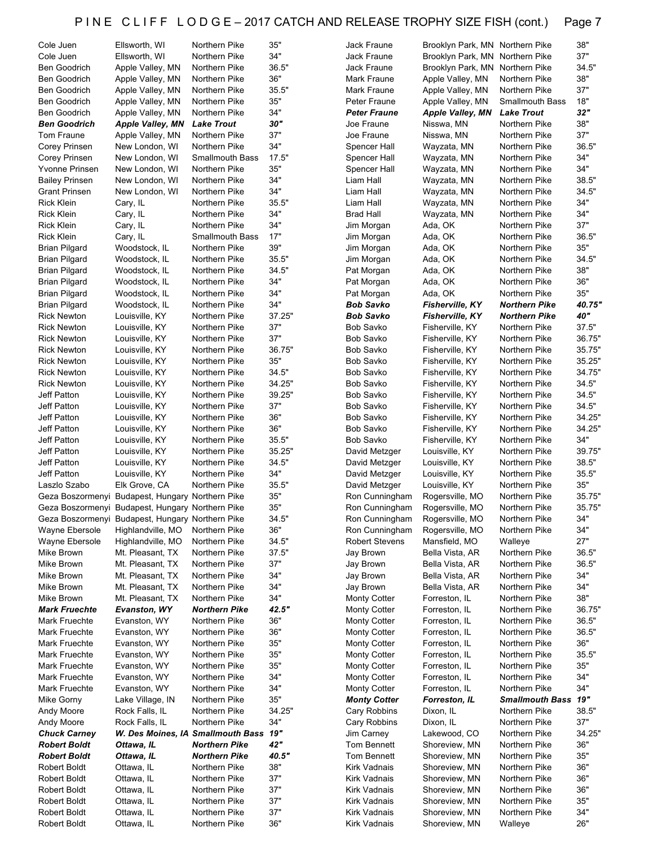| Cole Juen             | Ellsworth, WI                                    | Northern Pike          | 35"    | Jack Fraune           | Brooklyn Park, MN Northern Pike |                        | 38"    |
|-----------------------|--------------------------------------------------|------------------------|--------|-----------------------|---------------------------------|------------------------|--------|
| Cole Juen             | Ellsworth, WI                                    | Northern Pike          | 34"    | Jack Fraune           | Brooklyn Park, MN Northern Pike |                        | 37"    |
| Ben Goodrich          | Apple Valley, MN                                 | Northern Pike          | 36.5"  | Jack Fraune           | Brooklyn Park, MN Northern Pike |                        | 34.5"  |
| <b>Ben Goodrich</b>   | Apple Valley, MN                                 | Northern Pike          | 36"    | Mark Fraune           | Apple Valley, MN                | Northern Pike          | 38"    |
| Ben Goodrich          | Apple Valley, MN                                 | Northern Pike          | 35.5"  | Mark Fraune           | Apple Valley, MN                | Northern Pike          | 37"    |
| Ben Goodrich          | Apple Valley, MN                                 | Northern Pike          | 35"    | Peter Fraune          | Apple Valley, MN                | <b>Smallmouth Bass</b> | 18"    |
| Ben Goodrich          | Apple Valley, MN                                 | Northern Pike          | 34"    | Peter Fraune          | <b>Apple Valley, MN</b>         | <b>Lake Trout</b>      | 32"    |
| <b>Ben Goodrich</b>   | <b>Apple Valley, MN</b>                          | <b>Lake Trout</b>      | 30"    | Joe Fraune            | Nisswa, MN                      | Northern Pike          | 38"    |
| Tom Fraune            | Apple Valley, MN                                 | Northern Pike          | 37"    | Joe Fraune            | Nisswa, MN                      | Northern Pike          | 37"    |
| Corey Prinsen         | New London, WI                                   | Northern Pike          | 34"    | Spencer Hall          | Wayzata, MN                     | Northern Pike          | 36.5"  |
| Corey Prinsen         | New London, WI                                   | <b>Smallmouth Bass</b> | 17.5"  | Spencer Hall          | Wayzata, MN                     | Northern Pike          | 34"    |
| Yvonne Prinsen        | New London, WI                                   | Northern Pike          | 35"    | Spencer Hall          | Wayzata, MN                     | Northern Pike          | 34"    |
| <b>Bailey Prinsen</b> | New London, WI                                   | Northern Pike          | 34"    | Liam Hall             | Wayzata, MN                     | Northern Pike          | 38.5"  |
|                       |                                                  |                        | 34"    |                       |                                 | Northern Pike          | 34.5"  |
| <b>Grant Prinsen</b>  | New London, WI                                   | Northern Pike          |        | Liam Hall             | Wayzata, MN                     |                        |        |
| <b>Rick Klein</b>     | Cary, IL                                         | Northern Pike          | 35.5"  | Liam Hall             | Wayzata, MN                     | Northern Pike          | 34"    |
| <b>Rick Klein</b>     | Cary, IL                                         | Northern Pike          | 34"    | Brad Hall             | Wayzata, MN                     | Northern Pike          | 34"    |
| <b>Rick Klein</b>     | Cary, IL                                         | Northern Pike          | 34"    | Jim Morgan            | Ada, OK                         | Northern Pike          | 37"    |
| <b>Rick Klein</b>     | Cary, IL                                         | <b>Smallmouth Bass</b> | 17"    | Jim Morgan            | Ada, OK                         | Northern Pike          | 36.5"  |
| <b>Brian Pilgard</b>  | Woodstock, IL                                    | Northern Pike          | 39"    | Jim Morgan            | Ada, OK                         | Northern Pike          | 35"    |
| <b>Brian Pilgard</b>  | Woodstock, IL                                    | Northern Pike          | 35.5"  | Jim Morgan            | Ada, OK                         | Northern Pike          | 34.5"  |
| <b>Brian Pilgard</b>  | Woodstock, IL                                    | Northern Pike          | 34.5"  | Pat Morgan            | Ada, OK                         | Northern Pike          | 38"    |
| <b>Brian Pilgard</b>  | Woodstock, IL                                    | Northern Pike          | 34"    | Pat Morgan            | Ada, OK                         | Northern Pike          | 36"    |
| <b>Brian Pilgard</b>  | Woodstock, IL                                    | Northern Pike          | 34"    | Pat Morgan            | Ada, OK                         | Northern Pike          | 35"    |
| <b>Brian Pilgard</b>  | Woodstock, IL                                    | Northern Pike          | 34"    | Bob Savko             | <b>Fisherville, KY</b>          | <b>Northern Pike</b>   | 40.75" |
| <b>Rick Newton</b>    | Louisville, KY                                   | Northern Pike          | 37.25" | Bob Savko             | <b>Fisherville, KY</b>          | <b>Northern Pike</b>   | 40"    |
| <b>Rick Newton</b>    | Louisville, KY                                   | Northern Pike          | 37"    | Bob Savko             | Fisherville, KY                 | Northern Pike          | 37.5"  |
| <b>Rick Newton</b>    | Louisville, KY                                   | Northern Pike          | 37"    | Bob Savko             | Fisherville, KY                 | Northern Pike          | 36.75" |
| <b>Rick Newton</b>    | Louisville, KY                                   | Northern Pike          | 36.75" | Bob Savko             | Fisherville, KY                 | Northern Pike          | 35.75" |
|                       |                                                  |                        | 35"    |                       |                                 |                        |        |
| <b>Rick Newton</b>    | Louisville, KY                                   | Northern Pike          |        | Bob Savko             | Fisherville, KY                 | Northern Pike          | 35.25" |
| <b>Rick Newton</b>    | Louisville, KY                                   | Northern Pike          | 34.5"  | Bob Savko             | Fisherville, KY                 | Northern Pike          | 34.75" |
| <b>Rick Newton</b>    | Louisville, KY                                   | Northern Pike          | 34.25" | Bob Savko             | Fisherville, KY                 | Northern Pike          | 34.5"  |
| Jeff Patton           | Louisville, KY                                   | Northern Pike          | 39.25" | Bob Savko             | Fisherville, KY                 | Northern Pike          | 34.5"  |
| Jeff Patton           | Louisville, KY                                   | Northern Pike          | 37"    | Bob Savko             | Fisherville, KY                 | Northern Pike          | 34.5"  |
| Jeff Patton           | Louisville, KY                                   | Northern Pike          | 36"    | Bob Savko             | Fisherville, KY                 | Northern Pike          | 34.25" |
| Jeff Patton           | Louisville, KY                                   | Northern Pike          | 36"    | Bob Savko             | Fisherville, KY                 | Northern Pike          | 34.25" |
| Jeff Patton           | Louisville, KY                                   | Northern Pike          | 35.5"  | <b>Bob Savko</b>      | Fisherville, KY                 | Northern Pike          | 34"    |
| Jeff Patton           | Louisville, KY                                   | Northern Pike          | 35.25" | David Metzger         | Louisville, KY                  | Northern Pike          | 39.75" |
| <b>Jeff Patton</b>    | Louisville, KY                                   | Northern Pike          | 34.5"  | David Metzger         | Louisville, KY                  | Northern Pike          | 38.5"  |
| Jeff Patton           | Louisville, KY                                   | Northern Pike          | 34"    | David Metzger         | Louisville, KY                  | Northern Pike          | 35.5"  |
| Laszlo Szabo          | Elk Grove, CA                                    | Northern Pike          | 35.5"  | David Metzger         | Louisville, KY                  | Northern Pike          | 35"    |
|                       | Geza Boszormenyi Budapest, Hungary Northern Pike |                        | 35"    | Ron Cunningham        | Rogersville, MO                 | Northern Pike          | 35.75" |
|                       | Geza Boszormenyi Budapest, Hungary Northern Pike |                        | 35"    | Ron Cunningham        | Rogersville, MO                 | Northern Pike          | 35.75" |
|                       | Geza Boszormenyi Budapest, Hungary Northern Pike |                        | 34.5"  | Ron Cunningham        | Rogersville, MO                 | Northern Pike          | 34"    |
| Wayne Ebersole        | Highlandville, MO                                |                        | 36"    | Ron Cunningham        | Rogersville, MO                 | Northern Pike          | 34"    |
|                       |                                                  | Northern Pike          | 34.5"  | <b>Robert Stevens</b> |                                 |                        | 27"    |
| Wayne Ebersole        | Highlandville, MO                                | Northern Pike          |        |                       | Mansfield, MO                   | Walleye                |        |
| Mike Brown            | Mt. Pleasant, TX                                 | Northern Pike          | 37.5"  | Jay Brown             | Bella Vista, AR                 | Northern Pike          | 36.5"  |
| Mike Brown            | Mt. Pleasant, TX                                 | Northern Pike          | 37"    | Jay Brown             | Bella Vista, AR                 | Northern Pike          | 36.5"  |
| Mike Brown            | Mt. Pleasant, TX                                 | Northern Pike          | 34"    | Jay Brown             | Bella Vista, AR                 | Northern Pike          | 34"    |
| Mike Brown            | Mt. Pleasant, TX                                 | Northern Pike          | 34"    | Jay Brown             | Bella Vista, AR                 | Northern Pike          | 34"    |
| Mike Brown            | Mt. Pleasant, TX                                 | Northern Pike          | 34"    | <b>Monty Cotter</b>   | Forreston, IL                   | Northern Pike          | 38"    |
| <b>Mark Fruechte</b>  | <b>Evanston, WY</b>                              | <b>Northern Pike</b>   | 42.5"  | <b>Monty Cotter</b>   | Forreston, IL                   | Northern Pike          | 36.75" |
| Mark Fruechte         | Evanston, WY                                     | Northern Pike          | 36"    | <b>Monty Cotter</b>   | Forreston, IL                   | Northern Pike          | 36.5"  |
| Mark Fruechte         | Evanston, WY                                     | Northern Pike          | 36"    | <b>Monty Cotter</b>   | Forreston, IL                   | Northern Pike          | 36.5"  |
| Mark Fruechte         | Evanston, WY                                     | Northern Pike          | 35"    | <b>Monty Cotter</b>   | Forreston, IL                   | Northern Pike          | 36"    |
| Mark Fruechte         | Evanston, WY                                     | Northern Pike          | 35"    | <b>Monty Cotter</b>   | Forreston, IL                   | Northern Pike          | 35.5"  |
| Mark Fruechte         | Evanston, WY                                     | Northern Pike          | 35"    | <b>Monty Cotter</b>   | Forreston, IL                   | Northern Pike          | 35"    |
| Mark Fruechte         | Evanston, WY                                     | Northern Pike          | 34"    | <b>Monty Cotter</b>   | Forreston, IL                   | Northern Pike          | 34"    |
| Mark Fruechte         | Evanston, WY                                     | Northern Pike          | 34"    | <b>Monty Cotter</b>   | Forreston, IL                   | Northern Pike          | 34"    |
| Mike Gorny            | Lake Village, IN                                 | Northern Pike          | 35"    | <b>Monty Cotter</b>   | Forreston, IL                   | <b>Smallmouth Bass</b> | 19"    |
| Andy Moore            | Rock Falls, IL                                   | Northern Pike          | 34.25" | Cary Robbins          | Dixon, IL                       | Northern Pike          | 38.5"  |
|                       |                                                  |                        |        |                       |                                 |                        |        |
| Andy Moore            | Rock Falls, IL                                   | Northern Pike          | 34"    | Cary Robbins          | Dixon, IL                       | Northern Pike          | 37"    |
| <b>Chuck Carney</b>   | W. Des Moines, IA Smallmouth Bass                |                        | 19"    | Jim Carney            | Lakewood, CO                    | Northern Pike          | 34.25" |
| <b>Robert Boldt</b>   | Ottawa, IL                                       | <b>Northern Pike</b>   | 42"    | <b>Tom Bennett</b>    | Shoreview, MN                   | Northern Pike          | 36"    |
| <b>Robert Boldt</b>   | Ottawa, IL                                       | <b>Northern Pike</b>   | 40.5"  | <b>Tom Bennett</b>    | Shoreview, MN                   | Northern Pike          | 35"    |
| Robert Boldt          | Ottawa, IL                                       | Northern Pike          | 38"    | Kirk Vadnais          | Shoreview, MN                   | Northern Pike          | 36"    |
| Robert Boldt          | Ottawa, IL                                       | Northern Pike          | 37"    | Kirk Vadnais          | Shoreview, MN                   | Northern Pike          | 36"    |
| Robert Boldt          |                                                  |                        |        | Kirk Vadnais          | Shoreview, MN                   | Northern Pike          | 36"    |
|                       | Ottawa, IL                                       | Northern Pike          | 37"    |                       |                                 |                        |        |
| Robert Boldt          | Ottawa, IL                                       | Northern Pike          | 37"    | Kirk Vadnais          | Shoreview, MN                   | Northern Pike          | 35"    |
| Robert Boldt          | Ottawa, IL                                       | Northern Pike          | 37"    | Kirk Vadnais          | Shoreview, MN                   | Northern Pike          | 34"    |